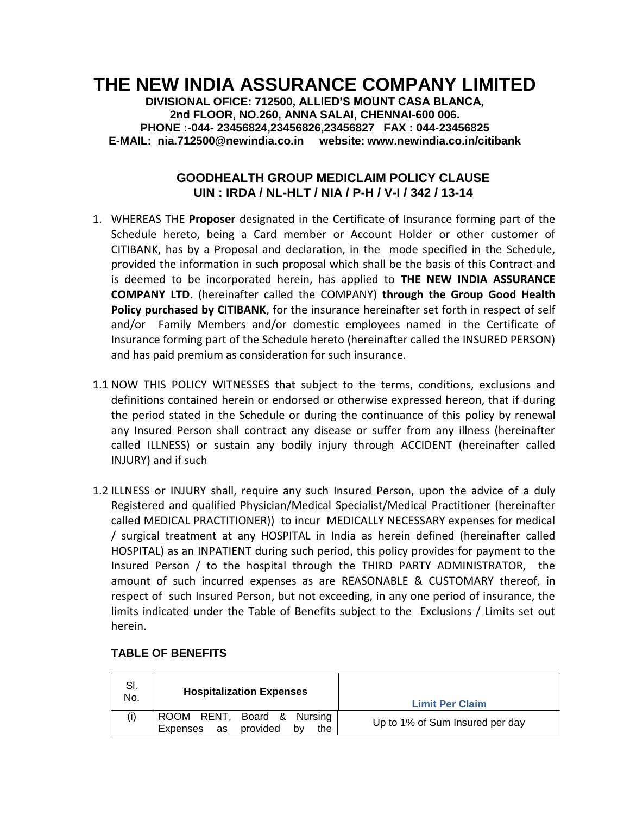# **THE NEW INDIA ASSURANCE COMPANY LIMITED**

**DIVISIONAL OFICE: 712500, ALLIED'S MOUNT CASA BLANCA, 2nd FLOOR, NO.260, ANNA SALAI, CHENNAI-600 006. PHONE :-044- 23456824,23456826,23456827 FAX : 044-23456825 E-MAIL: nia.712500@newindia.co.in website: www.newindia.co.in/citibank**

# **GOODHEALTH GROUP MEDICLAIM POLICY CLAUSE UIN : IRDA / NL-HLT / NIA / P-H / V-I / 342 / 13-14**

- 1. WHEREAS THE **Proposer** designated in the Certificate of Insurance forming part of the Schedule hereto, being a Card member or Account Holder or other customer of CITIBANK, has by a Proposal and declaration, in the mode specified in the Schedule, provided the information in such proposal which shall be the basis of this Contract and is deemed to be incorporated herein, has applied to **THE NEW INDIA ASSURANCE COMPANY LTD**. (hereinafter called the COMPANY) **through the Group Good Health Policy purchased by CITIBANK**, for the insurance hereinafter set forth in respect of self and/or Family Members and/or domestic employees named in the Certificate of Insurance forming part of the Schedule hereto (hereinafter called the INSURED PERSON) and has paid premium as consideration for such insurance.
- 1.1 NOW THIS POLICY WITNESSES that subject to the terms, conditions, exclusions and definitions contained herein or endorsed or otherwise expressed hereon, that if during the period stated in the Schedule or during the continuance of this policy by renewal any Insured Person shall contract any disease or suffer from any illness (hereinafter called ILLNESS) or sustain any bodily injury through ACCIDENT (hereinafter called INJURY) and if such
- 1.2 ILLNESS or INJURY shall, require any such Insured Person, upon the advice of a duly Registered and qualified Physician/Medical Specialist/Medical Practitioner (hereinafter called MEDICAL PRACTITIONER)) to incur MEDICALLY NECESSARY expenses for medical / surgical treatment at any HOSPITAL in India as herein defined (hereinafter called HOSPITAL) as an INPATIENT during such period, this policy provides for payment to the Insured Person / to the hospital through the THIRD PARTY ADMINISTRATOR, the amount of such incurred expenses as are REASONABLE & CUSTOMARY thereof, in respect of such Insured Person, but not exceeding, in any one period of insurance, the limits indicated under the Table of Benefits subject to the Exclusions / Limits set out herein.

| SI.<br>No. | <b>Hospitalization Expenses</b>                                       | <b>Limit Per Claim</b>          |
|------------|-----------------------------------------------------------------------|---------------------------------|
| (i)        | ROOM RENT, Board & Nursing<br>provided<br>Expenses<br>as<br>the<br>b٧ | Up to 1% of Sum Insured per day |

# **TABLE OF BENEFITS**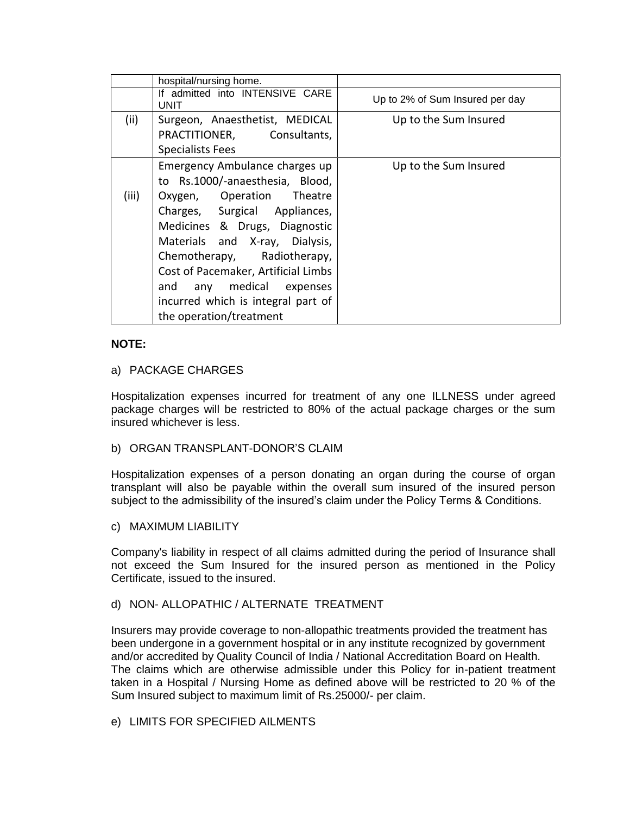|       | hospital/nursing home.                                                                                                                                                                                                                                                                                                                                                |                                 |
|-------|-----------------------------------------------------------------------------------------------------------------------------------------------------------------------------------------------------------------------------------------------------------------------------------------------------------------------------------------------------------------------|---------------------------------|
|       | If admitted into INTENSIVE CARE<br><b>UNIT</b>                                                                                                                                                                                                                                                                                                                        | Up to 2% of Sum Insured per day |
| (ii)  | Surgeon, Anaesthetist, MEDICAL<br>PRACTITIONER, Consultants,<br><b>Specialists Fees</b>                                                                                                                                                                                                                                                                               | Up to the Sum Insured           |
| (iii) | Emergency Ambulance charges up<br>to Rs.1000/-anaesthesia, Blood,<br>Oxygen, Operation Theatre<br>Charges, Surgical Appliances,<br>Medicines & Drugs, Diagnostic<br>Materials and X-ray, Dialysis,<br>Chemotherapy, Radiotherapy,<br>Cost of Pacemaker, Artificial Limbs<br>and any medical expenses<br>incurred which is integral part of<br>the operation/treatment | Up to the Sum Insured           |

### **NOTE:**

### a) PACKAGE CHARGES

Hospitalization expenses incurred for treatment of any one ILLNESS under agreed package charges will be restricted to 80% of the actual package charges or the sum insured whichever is less.

### b) ORGAN TRANSPLANT-DONOR'S CLAIM

Hospitalization expenses of a person donating an organ during the course of organ transplant will also be payable within the overall sum insured of the insured person subject to the admissibility of the insured's claim under the Policy Terms & Conditions.

### c) MAXIMUM LIABILITY

Company's liability in respect of all claims admitted during the period of Insurance shall not exceed the Sum Insured for the insured person as mentioned in the Policy Certificate, issued to the insured.

### d) NON- ALLOPATHIC / ALTERNATE TREATMENT

Insurers may provide coverage to non-allopathic treatments provided the treatment has been undergone in a government hospital or in any institute recognized by government and/or accredited by Quality Council of India / National Accreditation Board on Health. The claims which are otherwise admissible under this Policy for in-patient treatment taken in a Hospital / Nursing Home as defined above will be restricted to 20 % of the Sum Insured subject to maximum limit of Rs.25000/- per claim.

### e) LIMITS FOR SPECIFIED AILMENTS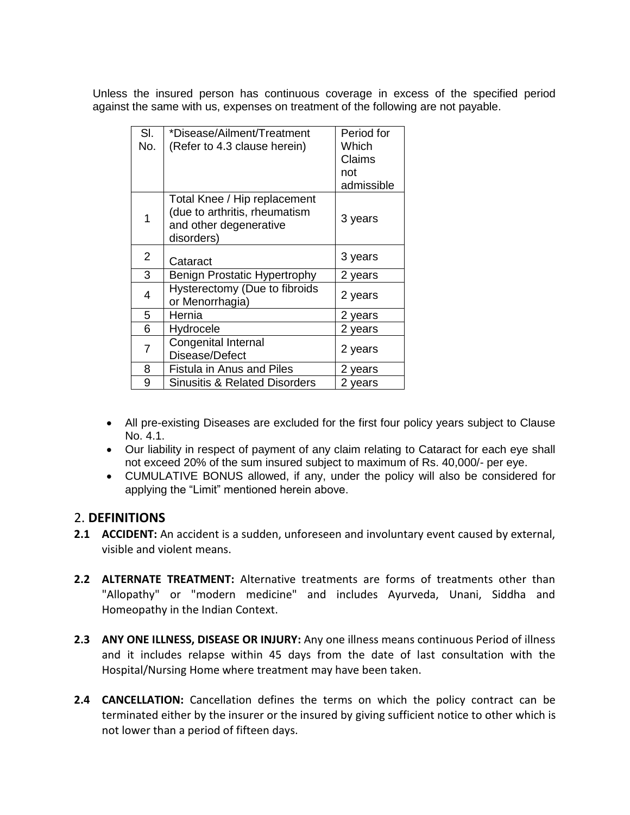Unless the insured person has continuous coverage in excess of the specified period against the same with us, expenses on treatment of the following are not payable.

| SI.<br>No. | *Disease/Ailment/Treatment<br>(Refer to 4.3 clause herein)                                            | Period for<br>Which<br>Claims<br>not<br>admissible |
|------------|-------------------------------------------------------------------------------------------------------|----------------------------------------------------|
| 1          | Total Knee / Hip replacement<br>(due to arthritis, rheumatism<br>and other degenerative<br>disorders) | 3 years                                            |
| 2          | Cataract                                                                                              | 3 years                                            |
| 3          | Benign Prostatic Hypertrophy                                                                          | 2 years                                            |
| 4          | Hysterectomy (Due to fibroids<br>or Menorrhagia)                                                      | 2 years                                            |
| 5          | Hernia                                                                                                | 2 years                                            |
| 6          | Hydrocele                                                                                             | 2 years                                            |
| 7          | <b>Congenital Internal</b><br>Disease/Defect                                                          | 2 years                                            |
| 8          | Fistula in Anus and Piles                                                                             | 2 years                                            |
| 9          | <b>Sinusitis &amp; Related Disorders</b>                                                              | 2 years                                            |

- All pre-existing Diseases are excluded for the first four policy years subject to Clause No. 4.1.
- Our liability in respect of payment of any claim relating to Cataract for each eye shall not exceed 20% of the sum insured subject to maximum of Rs. 40,000/- per eye.
- CUMULATIVE BONUS allowed, if any, under the policy will also be considered for applying the "Limit" mentioned herein above.

# 2. **DEFINITIONS**

- **2.1 ACCIDENT:** An accident is a sudden, unforeseen and involuntary event caused by external, visible and violent means.
- **2.2 ALTERNATE TREATMENT:** Alternative treatments are forms of treatments other than "Allopathy" or "modern medicine" and includes Ayurveda, Unani, Siddha and Homeopathy in the Indian Context.
- **2.3 ANY ONE ILLNESS, DISEASE OR INJURY:** Any one illness means continuous Period of illness and it includes relapse within 45 days from the date of last consultation with the Hospital/Nursing Home where treatment may have been taken.
- **2.4 CANCELLATION:** Cancellation defines the terms on which the policy contract can be terminated either by the insurer or the insured by giving sufficient notice to other which is not lower than a period of fifteen days.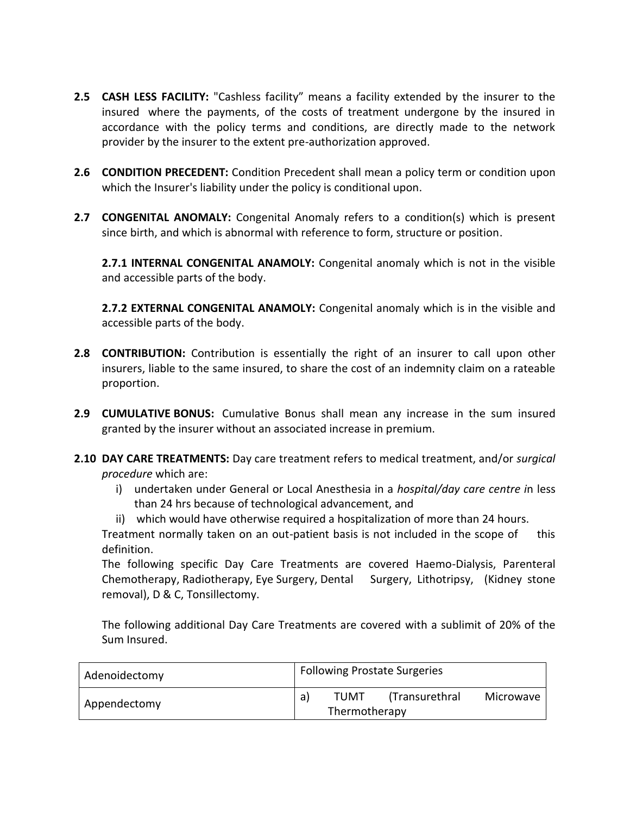- **2.5 CASH LESS FACILITY:** "Cashless facility" means a facility extended by the insurer to the insured where the payments, of the costs of treatment undergone by the insured in accordance with the policy terms and conditions, are directly made to the network provider by the insurer to the extent pre-authorization approved.
- **2.6 CONDITION PRECEDENT:** Condition Precedent shall mean a policy term or condition upon which the Insurer's liability under the policy is conditional upon.
- **2.7 CONGENITAL ANOMALY:** Congenital Anomaly refers to a condition(s) which is present since birth, and which is abnormal with reference to form, structure or position.

**2.7.1 INTERNAL CONGENITAL ANAMOLY:** Congenital anomaly which is not in the visible and accessible parts of the body.

**2.7.2 EXTERNAL CONGENITAL ANAMOLY:** Congenital anomaly which is in the visible and accessible parts of the body.

- **2.8 CONTRIBUTION:** Contribution is essentially the right of an insurer to call upon other insurers, liable to the same insured, to share the cost of an indemnity claim on a rateable proportion.
- **2.9 CUMULATIVE BONUS:** Cumulative Bonus shall mean any increase in the sum insured granted by the insurer without an associated increase in premium.
- **2.10 DAY CARE TREATMENTS:** Day care treatment refers to medical treatment, and/or *surgical procedure* which are:
	- i) undertaken under General or Local Anesthesia in a *hospital/day care centre i*n less than 24 hrs because of technological advancement, and
	- ii) which would have otherwise required a hospitalization of more than 24 hours.

Treatment normally taken on an out-patient basis is not included in the scope of this definition.

The following specific Day Care Treatments are covered Haemo-Dialysis, Parenteral Chemotherapy, Radiotherapy, Eye Surgery, Dental Surgery, Lithotripsy, (Kidney stone removal), D & C, Tonsillectomy.

The following additional Day Care Treatments are covered with a sublimit of 20% of the Sum Insured.

| Adenoidectomy |    | <b>Following Prostate Surgeries</b> |                |           |  |  |
|---------------|----|-------------------------------------|----------------|-----------|--|--|
| Appendectomy  | a) | TUMT                                | (Transurethral | Microwave |  |  |
|               |    | Thermotherapy                       |                |           |  |  |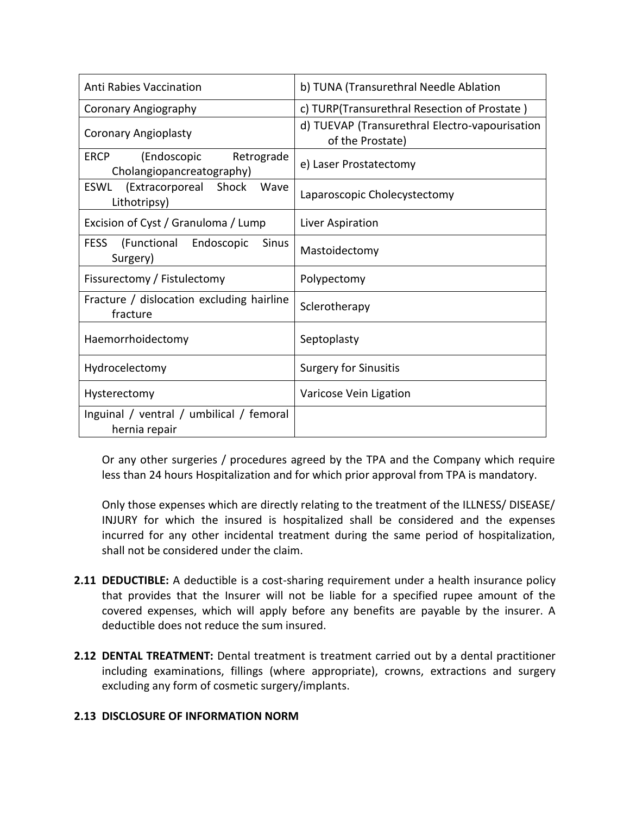| <b>Anti Rabies Vaccination</b>                                        | b) TUNA (Transurethral Needle Ablation                             |
|-----------------------------------------------------------------------|--------------------------------------------------------------------|
| <b>Coronary Angiography</b>                                           | c) TURP(Transurethral Resection of Prostate)                       |
| <b>Coronary Angioplasty</b>                                           | d) TUEVAP (Transurethral Electro-vapourisation<br>of the Prostate) |
| (Endoscopic<br>Retrograde<br><b>ERCP</b><br>Cholangiopancreatography) | e) Laser Prostatectomy                                             |
| (Extracorporeal<br>Shock<br><b>ESWL</b><br>Wave<br>Lithotripsy)       | Laparoscopic Cholecystectomy                                       |
| Excision of Cyst / Granuloma / Lump                                   | Liver Aspiration                                                   |
| (Functional<br>Endoscopic<br><b>FESS</b><br><b>Sinus</b><br>Surgery)  | Mastoidectomy                                                      |
| Fissurectomy / Fistulectomy                                           | Polypectomy                                                        |
| Fracture / dislocation excluding hairline<br>fracture                 | Sclerotherapy                                                      |
| Haemorrhoidectomy                                                     | Septoplasty                                                        |
| Hydrocelectomy                                                        | <b>Surgery for Sinusitis</b>                                       |
| Hysterectomy                                                          | Varicose Vein Ligation                                             |
| Inguinal / ventral / umbilical / femoral<br>hernia repair             |                                                                    |

Or any other surgeries / procedures agreed by the TPA and the Company which require less than 24 hours Hospitalization and for which prior approval from TPA is mandatory.

Only those expenses which are directly relating to the treatment of the ILLNESS/ DISEASE/ INJURY for which the insured is hospitalized shall be considered and the expenses incurred for any other incidental treatment during the same period of hospitalization, shall not be considered under the claim.

- **2.11 DEDUCTIBLE:** A deductible is a cost-sharing requirement under a health insurance policy that provides that the Insurer will not be liable for a specified rupee amount of the covered expenses, which will apply before any benefits are payable by the insurer. A deductible does not reduce the sum insured.
- **2.12 DENTAL TREATMENT:** Dental treatment is treatment carried out by a dental practitioner including examinations, fillings (where appropriate), crowns, extractions and surgery excluding any form of cosmetic surgery/implants.

# **2.13 DISCLOSURE OF INFORMATION NORM**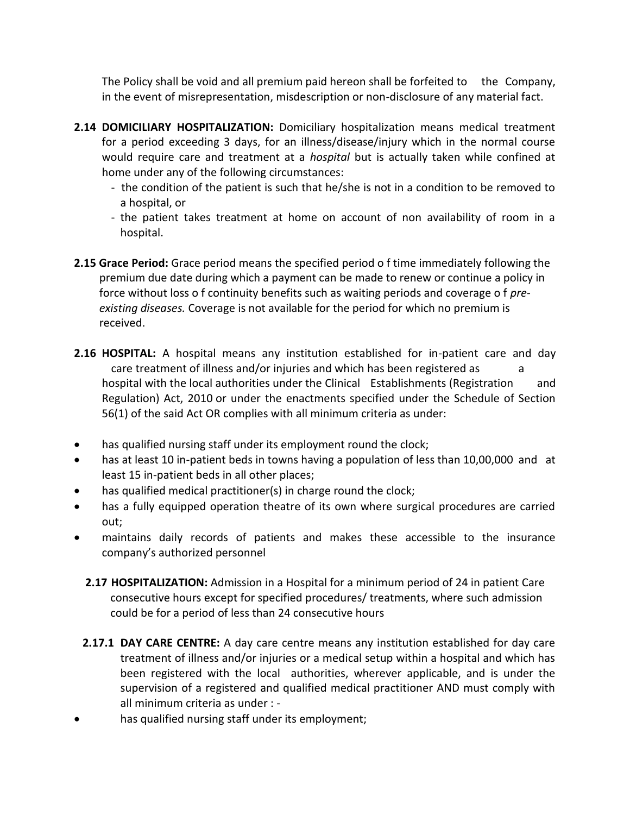The Policy shall be void and all premium paid hereon shall be forfeited to the Company, in the event of misrepresentation, misdescription or non-disclosure of any material fact.

- **2.14 DOMICILIARY HOSPITALIZATION:** Domiciliary hospitalization means medical treatment for a period exceeding 3 days, for an illness/disease/injury which in the normal course would require care and treatment at a *hospital* but is actually taken while confined at home under any of the following circumstances:
	- the condition of the patient is such that he/she is not in a condition to be removed to a hospital, or
	- the patient takes treatment at home on account of non availability of room in a hospital.
- **2.15 Grace Period:** Grace period means the specified period o f time immediately following the premium due date during which a payment can be made to renew or continue a policy in force without loss o f continuity benefits such as waiting periods and coverage o f *pre existing diseases.* Coverage is not available for the period for which no premium is received.
- **2.16 HOSPITAL:** A hospital means any institution established for in-patient care and day care treatment of illness and/or injuries and which has been registered as a hospital with the local authorities under the Clinical Establishments (Registration and Regulation) Act, 2010 or under the enactments specified under the Schedule of Section 56(1) of the said Act OR complies with all minimum criteria as under:
- has qualified nursing staff under its employment round the clock;
- has at least 10 in-patient beds in towns having a population of less than 10,00,000 and at least 15 in-patient beds in all other places;
- has qualified medical practitioner(s) in charge round the clock;
- has a fully equipped operation theatre of its own where surgical procedures are carried out;
- maintains daily records of patients and makes these accessible to the insurance company's authorized personnel
	- **2.17 HOSPITALIZATION:** Admission in a Hospital for a minimum period of 24 in patient Care consecutive hours except for specified procedures/ treatments, where such admission could be for a period of less than 24 consecutive hours
	- **2.17.1 DAY CARE CENTRE:** A day care centre means any institution established for day care treatment of illness and/or injuries or a medical setup within a hospital and which has been registered with the local authorities, wherever applicable, and is under the supervision of a registered and qualified medical practitioner AND must comply with all minimum criteria as under : -
- has qualified nursing staff under its employment;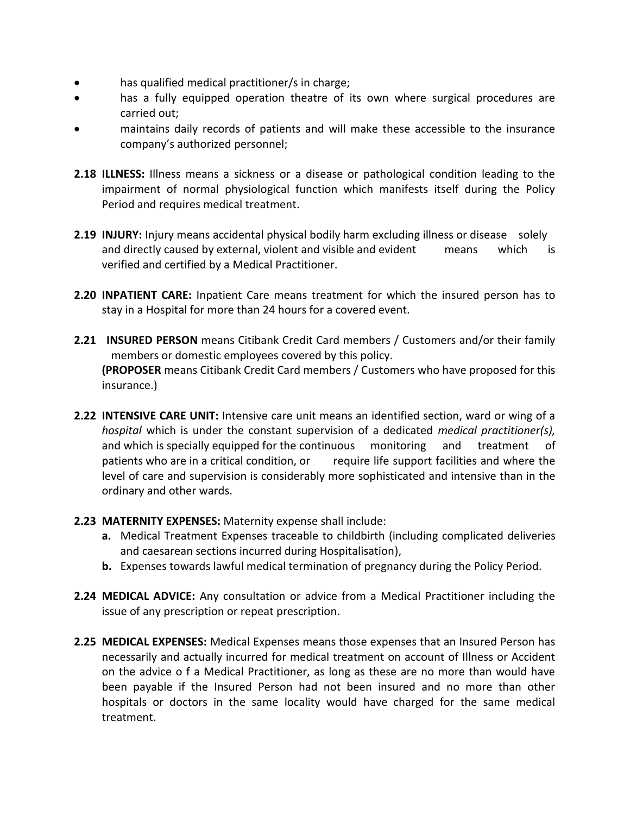- has qualified medical practitioner/s in charge;
- has a fully equipped operation theatre of its own where surgical procedures are carried out;
- maintains daily records of patients and will make these accessible to the insurance company's authorized personnel;
- **2.18 ILLNESS:** Illness means a sickness or a disease or pathological condition leading to the impairment of normal physiological function which manifests itself during the Policy Period and requires medical treatment.
- **2.19 INJURY:** Injury means accidental physical bodily harm excluding illness or disease solely and directly caused by external, violent and visible and evident means which is verified and certified by a Medical Practitioner.
- **2.20 INPATIENT CARE:** Inpatient Care means treatment for which the insured person has to stay in a Hospital for more than 24 hours for a covered event.
- **2.21 INSURED PERSON** means Citibank Credit Card members / Customers and/or their family members or domestic employees covered by this policy. **(PROPOSER** means Citibank Credit Card members / Customers who have proposed for this insurance.)
- **2.22 INTENSIVE CARE UNIT:** Intensive care unit means an identified section, ward or wing of a *hospital* which is under the constant supervision of a dedicated *medical practitioner(s),*  and which is specially equipped for the continuous monitoring and treatment of patients who are in a critical condition, or require life support facilities and where the level of care and supervision is considerably more sophisticated and intensive than in the ordinary and other wards.
- **2.23 MATERNITY EXPENSES:** Maternity expense shall include:
	- **a.** Medical Treatment Expenses traceable to childbirth (including complicated deliveries and caesarean sections incurred during Hospitalisation),
	- **b.** Expenses towards lawful medical termination of pregnancy during the Policy Period.
- **2.24 MEDICAL ADVICE:** Any consultation or advice from a Medical Practitioner including the issue of any prescription or repeat prescription.
- **2.25 MEDICAL EXPENSES:** Medical Expenses means those expenses that an Insured Person has necessarily and actually incurred for medical treatment on account of Illness or Accident on the advice o f a Medical Practitioner, as long as these are no more than would have been payable if the Insured Person had not been insured and no more than other hospitals or doctors in the same locality would have charged for the same medical treatment.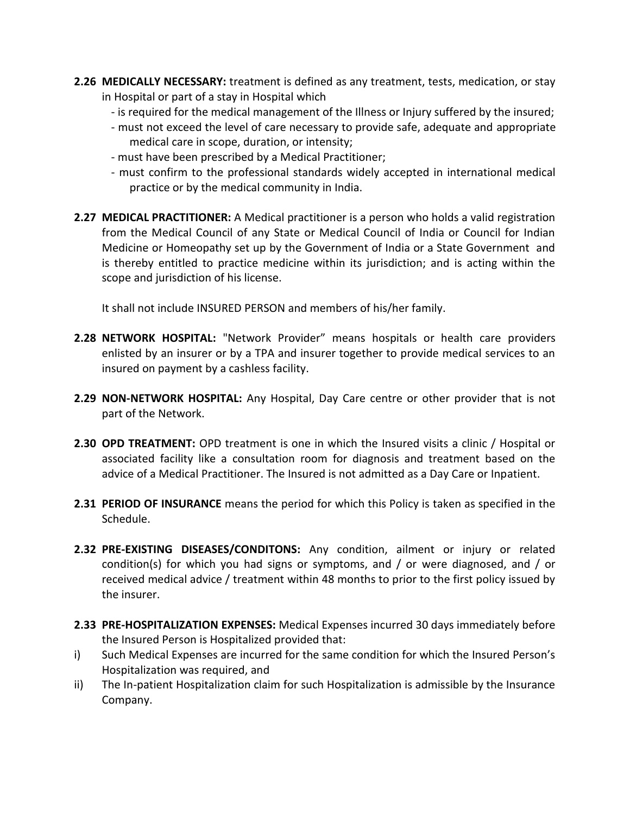- **2.26 MEDICALLY NECESSARY:** treatment is defined as any treatment, tests, medication, or stay in Hospital or part of a stay in Hospital which
	- is required for the medical management of the Illness or Injury suffered by the insured;
	- must not exceed the level of care necessary to provide safe, adequate and appropriate medical care in scope, duration, or intensity;
	- must have been prescribed by a Medical Practitioner;
	- must confirm to the professional standards widely accepted in international medical practice or by the medical community in India.
- **2.27 MEDICAL PRACTITIONER:** A Medical practitioner is a person who holds a valid registration from the Medical Council of any State or Medical Council of India or Council for Indian Medicine or Homeopathy set up by the Government of India or a State Government and is thereby entitled to practice medicine within its jurisdiction; and is acting within the scope and jurisdiction of his license.

It shall not include INSURED PERSON and members of his/her family.

- **2.28 NETWORK HOSPITAL:** "Network Provider" means hospitals or health care providers enlisted by an insurer or by a TPA and insurer together to provide medical services to an insured on payment by a cashless facility.
- **2.29 NON-NETWORK HOSPITAL:** Any Hospital, Day Care centre or other provider that is not part of the Network.
- **2.30 OPD TREATMENT:** OPD treatment is one in which the Insured visits a clinic / Hospital or associated facility like a consultation room for diagnosis and treatment based on the advice of a Medical Practitioner. The Insured is not admitted as a Day Care or Inpatient.
- **2.31 PERIOD OF INSURANCE** means the period for which this Policy is taken as specified in the Schedule.
- **2.32 PRE-EXISTING DISEASES/CONDITONS:** Any condition, ailment or injury or related condition(s) for which you had signs or symptoms, and / or were diagnosed, and / or received medical advice / treatment within 48 months to prior to the first policy issued by the insurer.
- **2.33 PRE-HOSPITALIZATION EXPENSES:** Medical Expenses incurred 30 days immediately before the Insured Person is Hospitalized provided that:
- i) Such Medical Expenses are incurred for the same condition for which the Insured Person's Hospitalization was required, and
- ii) The In-patient Hospitalization claim for such Hospitalization is admissible by the Insurance Company.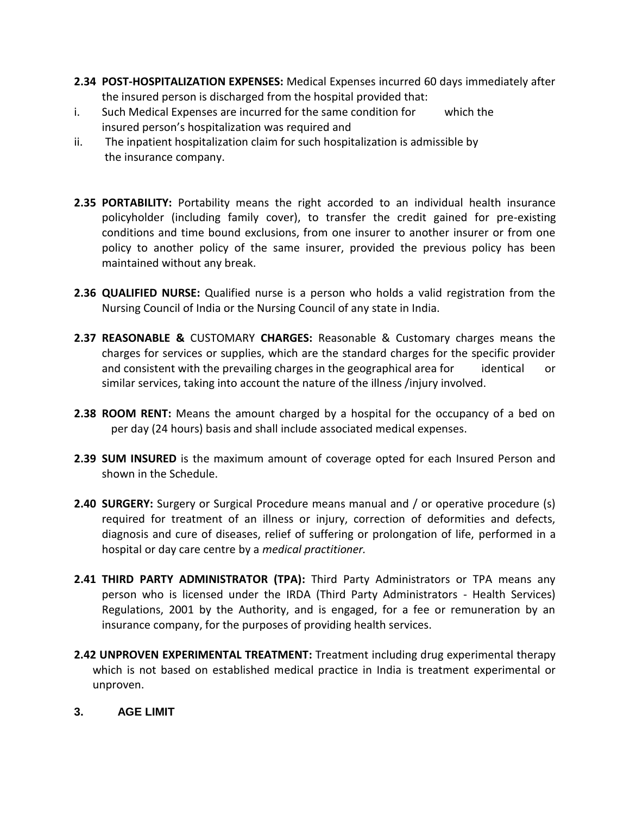- **2.34 POST-HOSPITALIZATION EXPENSES:** Medical Expenses incurred 60 days immediately after the insured person is discharged from the hospital provided that:
- i. Such Medical Expenses are incurred for the same condition for which the insured person's hospitalization was required and
- ii. The inpatient hospitalization claim for such hospitalization is admissible by the insurance company.
- **2.35 PORTABILITY:** Portability means the right accorded to an individual health insurance policyholder (including family cover), to transfer the credit gained for pre-existing conditions and time bound exclusions, from one insurer to another insurer or from one policy to another policy of the same insurer, provided the previous policy has been maintained without any break.
- **2.36 QUALIFIED NURSE:** Qualified nurse is a person who holds a valid registration from the Nursing Council of India or the Nursing Council of any state in India.
- **2.37 REASONABLE &** CUSTOMARY **CHARGES:** Reasonable & Customary charges means the charges for services or supplies, which are the standard charges for the specific provider and consistent with the prevailing charges in the geographical area for identical or similar services, taking into account the nature of the illness /injury involved.
- **2.38 ROOM RENT:** Means the amount charged by a hospital for the occupancy of a bed on per day (24 hours) basis and shall include associated medical expenses.
- **2.39 SUM INSURED** is the maximum amount of coverage opted for each Insured Person and shown in the Schedule.
- **2.40 SURGERY:** Surgery or Surgical Procedure means manual and / or operative procedure (s) required for treatment of an illness or injury, correction of deformities and defects, diagnosis and cure of diseases, relief of suffering or prolongation of life, performed in a hospital or day care centre by a *medical practitioner.*
- **2.41 THIRD PARTY ADMINISTRATOR (TPA):** Third Party Administrators or TPA means any person who is licensed under the IRDA (Third Party Administrators - Health Services) Regulations, 2001 by the Authority, and is engaged, for a fee or remuneration by an insurance company, for the purposes of providing health services.
- **2.42 UNPROVEN EXPERIMENTAL TREATMENT:** Treatment including drug experimental therapy which is not based on established medical practice in India is treatment experimental or unproven.
- **3. AGE LIMIT**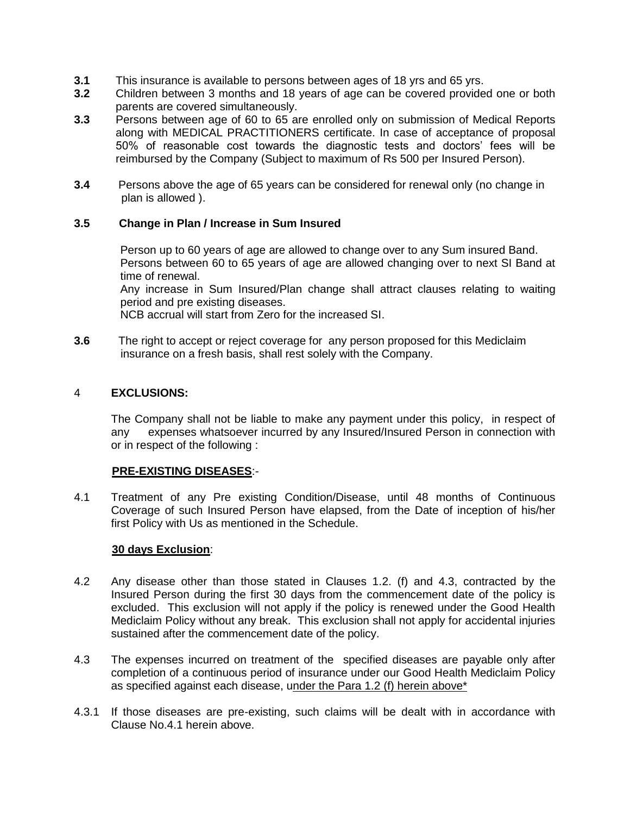- **3.1** This insurance is available to persons between ages of 18 yrs and 65 yrs.
- **3.2** Children between 3 months and 18 years of age can be covered provided one or both parents are covered simultaneously.
- **3.3** Persons between age of 60 to 65 are enrolled only on submission of Medical Reports along with MEDICAL PRACTITIONERS certificate. In case of acceptance of proposal 50% of reasonable cost towards the diagnostic tests and doctors' fees will be reimbursed by the Company (Subject to maximum of Rs 500 per Insured Person).
- **3.4** Persons above the age of 65 years can be considered for renewal only (no change in plan is allowed ).

# **3.5 Change in Plan / Increase in Sum Insured**

Person up to 60 years of age are allowed to change over to any Sum insured Band. Persons between 60 to 65 years of age are allowed changing over to next SI Band at time of renewal.

Any increase in Sum Insured/Plan change shall attract clauses relating to waiting period and pre existing diseases.

NCB accrual will start from Zero for the increased SI.

**3.6** The right to accept or reject coverage for any person proposed for this Mediclaim insurance on a fresh basis, shall rest solely with the Company.

### 4 **EXCLUSIONS:**

The Company shall not be liable to make any payment under this policy, in respect of any expenses whatsoever incurred by any Insured/Insured Person in connection with or in respect of the following :

### **PRE-EXISTING DISEASES**:-

4.1 Treatment of any Pre existing Condition/Disease, until 48 months of Continuous Coverage of such Insured Person have elapsed, from the Date of inception of his/her first Policy with Us as mentioned in the Schedule.

### **30 days Exclusion**:

- 4.2 Any disease other than those stated in Clauses 1.2. (f) and 4.3, contracted by the Insured Person during the first 30 days from the commencement date of the policy is excluded. This exclusion will not apply if the policy is renewed under the Good Health Mediclaim Policy without any break. This exclusion shall not apply for accidental injuries sustained after the commencement date of the policy.
- 4.3 The expenses incurred on treatment of the specified diseases are payable only after completion of a continuous period of insurance under our Good Health Mediclaim Policy as specified against each disease, under the Para 1.2 (f) herein above\*
- 4.3.1 If those diseases are pre-existing, such claims will be dealt with in accordance with Clause No.4.1 herein above.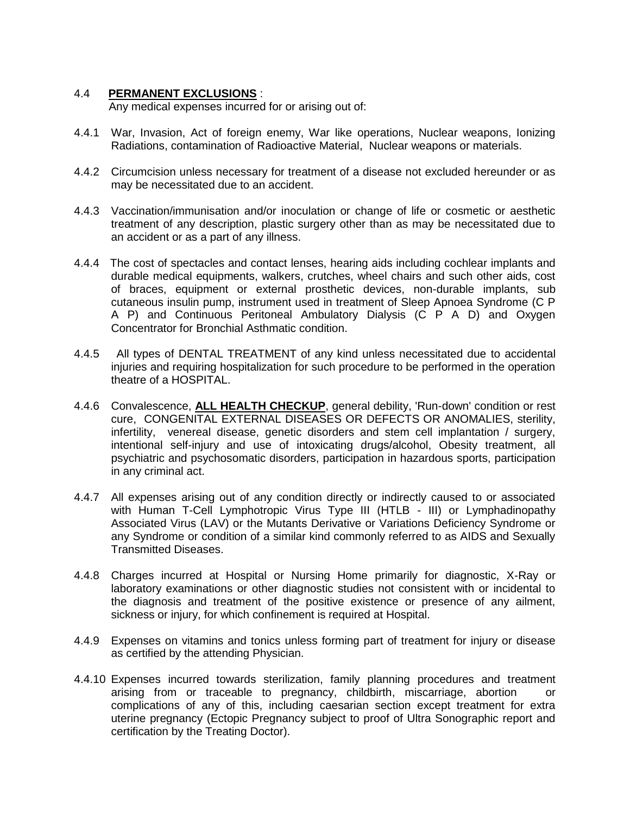### 4.4 **PERMANENT EXCLUSIONS** :

Any medical expenses incurred for or arising out of:

- 4.4.1 War, Invasion, Act of foreign enemy, War like operations, Nuclear weapons, Ionizing Radiations, contamination of Radioactive Material, Nuclear weapons or materials.
- 4.4.2 Circumcision unless necessary for treatment of a disease not excluded hereunder or as may be necessitated due to an accident.
- 4.4.3 Vaccination/immunisation and/or inoculation or change of life or cosmetic or aesthetic treatment of any description, plastic surgery other than as may be necessitated due to an accident or as a part of any illness.
- 4.4.4 The cost of spectacles and contact lenses, hearing aids including cochlear implants and durable medical equipments, walkers, crutches, wheel chairs and such other aids, cost of braces, equipment or external prosthetic devices, non-durable implants, sub cutaneous insulin pump, instrument used in treatment of Sleep Apnoea Syndrome (C P A P) and Continuous Peritoneal Ambulatory Dialysis (C P A D) and Oxygen Concentrator for Bronchial Asthmatic condition.
- 4.4.5 All types of DENTAL TREATMENT of any kind unless necessitated due to accidental injuries and requiring hospitalization for such procedure to be performed in the operation theatre of a HOSPITAL.
- 4.4.6 Convalescence, **ALL HEALTH CHECKUP**, general debility, 'Run-down' condition or rest cure, CONGENITAL EXTERNAL DISEASES OR DEFECTS OR ANOMALIES, sterility, infertility, venereal disease, genetic disorders and stem cell implantation / surgery, intentional self-injury and use of intoxicating drugs/alcohol, Obesity treatment, all psychiatric and psychosomatic disorders, participation in hazardous sports, participation in any criminal act.
- 4.4.7 All expenses arising out of any condition directly or indirectly caused to or associated with Human T-Cell Lymphotropic Virus Type III (HTLB - III) or Lymphadinopathy Associated Virus (LAV) or the Mutants Derivative or Variations Deficiency Syndrome or any Syndrome or condition of a similar kind commonly referred to as AIDS and Sexually Transmitted Diseases.
- 4.4.8 Charges incurred at Hospital or Nursing Home primarily for diagnostic, X-Ray or laboratory examinations or other diagnostic studies not consistent with or incidental to the diagnosis and treatment of the positive existence or presence of any ailment, sickness or injury, for which confinement is required at Hospital.
- 4.4.9 Expenses on vitamins and tonics unless forming part of treatment for injury or disease as certified by the attending Physician.
- 4.4.10 Expenses incurred towards sterilization, family planning procedures and treatment arising from or traceable to pregnancy, childbirth, miscarriage, abortion or complications of any of this, including caesarian section except treatment for extra uterine pregnancy (Ectopic Pregnancy subject to proof of Ultra Sonographic report and certification by the Treating Doctor).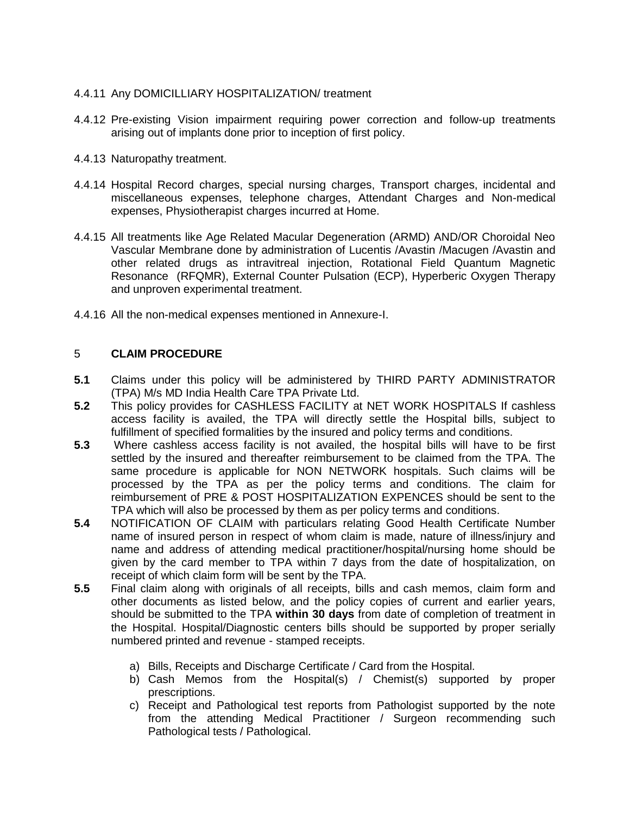# 4.4.11 Any DOMICILLIARY HOSPITALIZATION/ treatment

- 4.4.12 Pre-existing Vision impairment requiring power correction and follow-up treatments arising out of implants done prior to inception of first policy.
- 4.4.13 Naturopathy treatment.
- 4.4.14 Hospital Record charges, special nursing charges, Transport charges, incidental and miscellaneous expenses, telephone charges, Attendant Charges and Non-medical expenses, Physiotherapist charges incurred at Home.
- 4.4.15 All treatments like Age Related Macular Degeneration (ARMD) AND/OR Choroidal Neo Vascular Membrane done by administration of Lucentis /Avastin /Macugen /Avastin and other related drugs as intravitreal injection, Rotational Field Quantum Magnetic Resonance (RFQMR), External Counter Pulsation (ECP), Hyperberic Oxygen Therapy and unproven experimental treatment.
- 4.4.16 All the non-medical expenses mentioned in Annexure-I.

# 5 **CLAIM PROCEDURE**

- **5.1** Claims under this policy will be administered by THIRD PARTY ADMINISTRATOR (TPA) M/s MD India Health Care TPA Private Ltd.
- **5.2** This policy provides for CASHLESS FACILITY at NET WORK HOSPITALS If cashless access facility is availed, the TPA will directly settle the Hospital bills, subject to fulfillment of specified formalities by the insured and policy terms and conditions.
- **5.3** Where cashless access facility is not availed, the hospital bills will have to be first settled by the insured and thereafter reimbursement to be claimed from the TPA. The same procedure is applicable for NON NETWORK hospitals. Such claims will be processed by the TPA as per the policy terms and conditions. The claim for reimbursement of PRE & POST HOSPITALIZATION EXPENCES should be sent to the TPA which will also be processed by them as per policy terms and conditions.
- **5.4** NOTIFICATION OF CLAIM with particulars relating Good Health Certificate Number name of insured person in respect of whom claim is made, nature of illness/injury and name and address of attending medical practitioner/hospital/nursing home should be given by the card member to TPA within 7 days from the date of hospitalization, on receipt of which claim form will be sent by the TPA.
- **5.5** Final claim along with originals of all receipts, bills and cash memos, claim form and other documents as listed below, and the policy copies of current and earlier years, should be submitted to the TPA **within 30 days** from date of completion of treatment in the Hospital. Hospital/Diagnostic centers bills should be supported by proper serially numbered printed and revenue - stamped receipts.
	- a) Bills, Receipts and Discharge Certificate / Card from the Hospital.
	- b) Cash Memos from the Hospital(s) / Chemist(s) supported by proper prescriptions.
	- c) Receipt and Pathological test reports from Pathologist supported by the note from the attending Medical Practitioner / Surgeon recommending such Pathological tests / Pathological.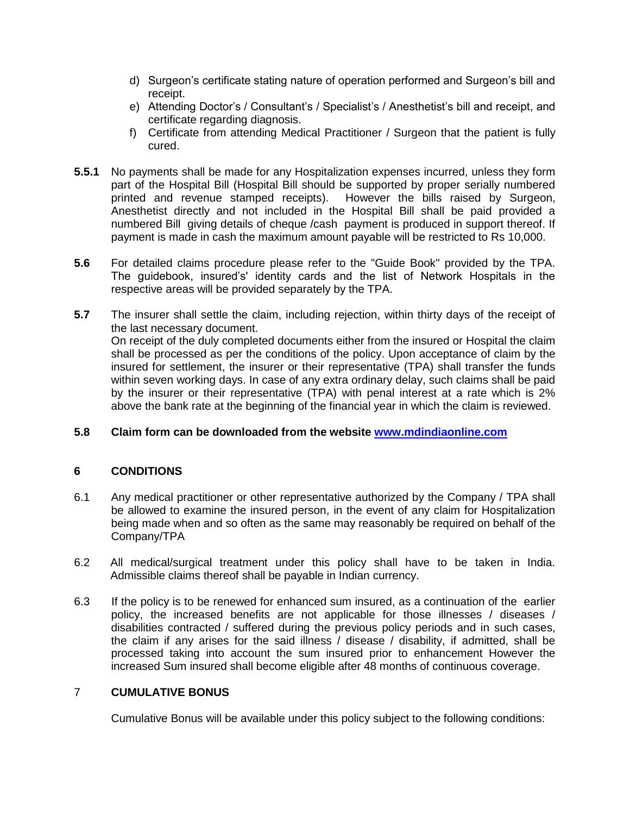- d) Surgeon's certificate stating nature of operation performed and Surgeon's bill and receipt.
- e) Attending Doctor's / Consultant's / Specialist's / Anesthetist's bill and receipt, and certificate regarding diagnosis.
- f) Certificate from attending Medical Practitioner / Surgeon that the patient is fully cured.
- **5.5.1** No payments shall be made for any Hospitalization expenses incurred, unless they form part of the Hospital Bill (Hospital Bill should be supported by proper serially numbered printed and revenue stamped receipts). However the bills raised by Surgeon, Anesthetist directly and not included in the Hospital Bill shall be paid provided a numbered Bill giving details of cheque /cash payment is produced in support thereof. If payment is made in cash the maximum amount payable will be restricted to Rs 10,000.
- **5.6** For detailed claims procedure please refer to the "Guide Book" provided by the TPA. The guidebook, insured's' identity cards and the list of Network Hospitals in the respective areas will be provided separately by the TPA.
- **5.7** The insurer shall settle the claim, including rejection, within thirty days of the receipt of the last necessary document. On receipt of the duly completed documents either from the insured or Hospital the claim shall be processed as per the conditions of the policy. Upon acceptance of claim by the insured for settlement, the insurer or their representative (TPA) shall transfer the funds within seven working days. In case of any extra ordinary delay, such claims shall be paid by the insurer or their representative (TPA) with penal interest at a rate which is 2% above the bank rate at the beginning of the financial year in which the claim is reviewed.

# **5.8 Claim form can be downloaded from the website [www.mdindiaonline.com](http://www.mdindiaonline.com/)**

# **6 CONDITIONS**

- 6.1 Any medical practitioner or other representative authorized by the Company / TPA shall be allowed to examine the insured person, in the event of any claim for Hospitalization being made when and so often as the same may reasonably be required on behalf of the Company/TPA
- 6.2 All medical/surgical treatment under this policy shall have to be taken in India. Admissible claims thereof shall be payable in Indian currency.
- 6.3 If the policy is to be renewed for enhanced sum insured, as a continuation of the earlier policy, the increased benefits are not applicable for those illnesses / diseases / disabilities contracted / suffered during the previous policy periods and in such cases, the claim if any arises for the said illness / disease / disability, if admitted, shall be processed taking into account the sum insured prior to enhancement However the increased Sum insured shall become eligible after 48 months of continuous coverage.

# 7 **CUMULATIVE BONUS**

Cumulative Bonus will be available under this policy subject to the following conditions: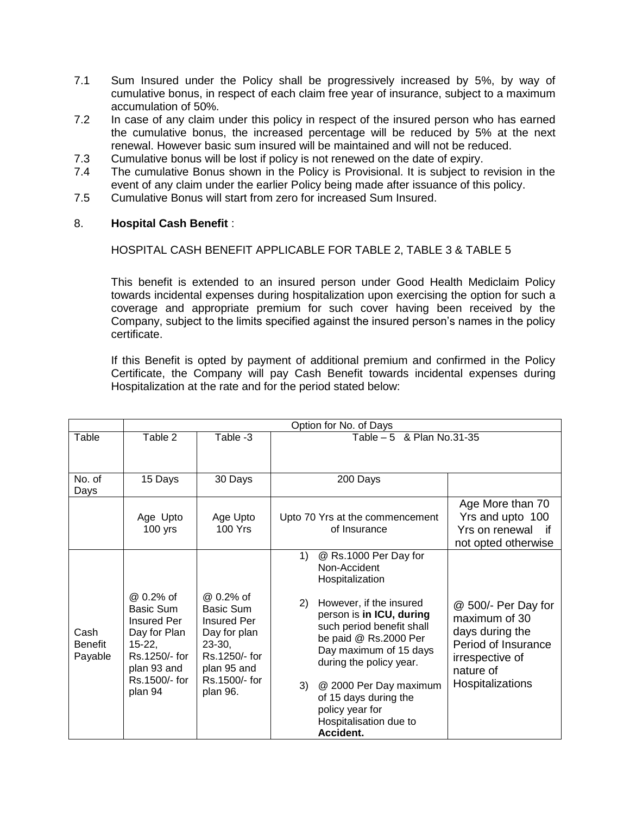- 7.1 Sum Insured under the Policy shall be progressively increased by 5%, by way of cumulative bonus, in respect of each claim free year of insurance, subject to a maximum accumulation of 50%.
- 7.2 In case of any claim under this policy in respect of the insured person who has earned the cumulative bonus, the increased percentage will be reduced by 5% at the next renewal. However basic sum insured will be maintained and will not be reduced.
- 7.3 Cumulative bonus will be lost if policy is not renewed on the date of expiry.
- 7.4 The cumulative Bonus shown in the Policy is Provisional. It is subject to revision in the event of any claim under the earlier Policy being made after issuance of this policy.
- 7.5 Cumulative Bonus will start from zero for increased Sum Insured.

### 8. **Hospital Cash Benefit** :

HOSPITAL CASH BENEFIT APPLICABLE FOR TABLE 2, TABLE 3 & TABLE 5

This benefit is extended to an insured person under Good Health Mediclaim Policy towards incidental expenses during hospitalization upon exercising the option for such a coverage and appropriate premium for such cover having been received by the Company, subject to the limits specified against the insured person's names in the policy certificate.

If this Benefit is opted by payment of additional premium and confirmed in the Policy Certificate, the Company will pay Cash Benefit towards incidental expenses during Hospitalization at the rate and for the period stated below:

|                                   | Option for No. of Days                                                                                                               |                                                                                                                                       |                                                                                                                                                                                                                                                                                                                                                           |                                                                                                                                    |  |  |
|-----------------------------------|--------------------------------------------------------------------------------------------------------------------------------------|---------------------------------------------------------------------------------------------------------------------------------------|-----------------------------------------------------------------------------------------------------------------------------------------------------------------------------------------------------------------------------------------------------------------------------------------------------------------------------------------------------------|------------------------------------------------------------------------------------------------------------------------------------|--|--|
| Table                             | Table 2                                                                                                                              | Table -3                                                                                                                              | Table $-5$ & Plan No.31-35                                                                                                                                                                                                                                                                                                                                |                                                                                                                                    |  |  |
| No. of<br>Days                    | 15 Days                                                                                                                              | 30 Days                                                                                                                               | 200 Days                                                                                                                                                                                                                                                                                                                                                  |                                                                                                                                    |  |  |
|                                   | Age Upto<br>$100$ yrs                                                                                                                | Age Upto<br>100 Yrs                                                                                                                   | Upto 70 Yrs at the commencement<br>of Insurance                                                                                                                                                                                                                                                                                                           | Age More than 70<br>Yrs and upto 100<br>Yrs on renewal<br>⊤if<br>not opted otherwise                                               |  |  |
| Cash<br><b>Benefit</b><br>Payable | @ 0.2% of<br>Basic Sum<br><b>Insured Per</b><br>Day for Plan<br>$15-22,$<br>Rs.1250/- for<br>plan 93 and<br>Rs.1500/- for<br>plan 94 | @ 0.2% of<br>Basic Sum<br><b>Insured Per</b><br>Day for plan<br>$23-30,$<br>Rs.1250/- for<br>plan 95 and<br>Rs.1500/- for<br>plan 96. | @ Rs.1000 Per Day for<br>1)<br>Non-Accident<br>Hospitalization<br>However, if the insured<br>2)<br>person is in ICU, during<br>such period benefit shall<br>be paid @ Rs.2000 Per<br>Day maximum of 15 days<br>during the policy year.<br>3)<br>@ 2000 Per Day maximum<br>of 15 days during the<br>policy year for<br>Hospitalisation due to<br>Accident. | @ 500/- Per Day for<br>maximum of 30<br>days during the<br>Period of Insurance<br>irrespective of<br>nature of<br>Hospitalizations |  |  |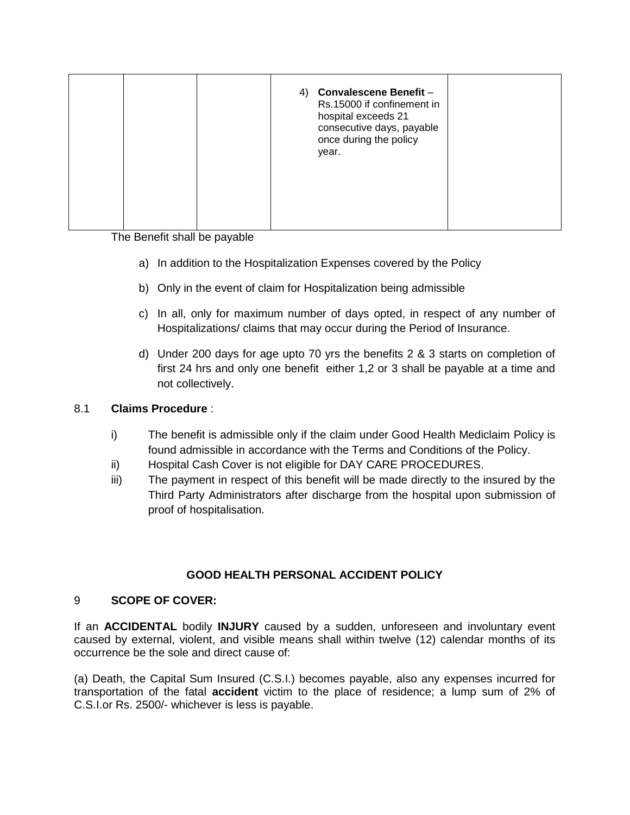|  |  | 4) Convalescene Benefit -<br>Rs.15000 if confinement in<br>hospital exceeds 21<br>consecutive days, payable<br>once during the policy<br>year. |  |
|--|--|------------------------------------------------------------------------------------------------------------------------------------------------|--|
|  |  |                                                                                                                                                |  |

The Benefit shall be payable

- a) In addition to the Hospitalization Expenses covered by the Policy
- b) Only in the event of claim for Hospitalization being admissible
- c) In all, only for maximum number of days opted, in respect of any number of Hospitalizations/ claims that may occur during the Period of Insurance.
- d) Under 200 days for age upto 70 yrs the benefits 2 & 3 starts on completion of first 24 hrs and only one benefit either 1,2 or 3 shall be payable at a time and not collectively.

# 8.1 **Claims Procedure** :

- i) The benefit is admissible only if the claim under Good Health Mediclaim Policy is found admissible in accordance with the Terms and Conditions of the Policy.
- ii) Hospital Cash Cover is not eligible for DAY CARE PROCEDURES.
- iii) The payment in respect of this benefit will be made directly to the insured by the Third Party Administrators after discharge from the hospital upon submission of proof of hospitalisation.

# **GOOD HEALTH PERSONAL ACCIDENT POLICY**

# 9 **SCOPE OF COVER:**

If an **ACCIDENTAL** bodily **INJURY** caused by a sudden, unforeseen and involuntary event caused by external, violent, and visible means shall within twelve (12) calendar months of its occurrence be the sole and direct cause of:

(a) Death, the Capital Sum Insured (C.S.I.) becomes payable, also any expenses incurred for transportation of the fatal **accident** victim to the place of residence; a lump sum of 2% of C.S.I.or Rs. 2500/- whichever is less is payable.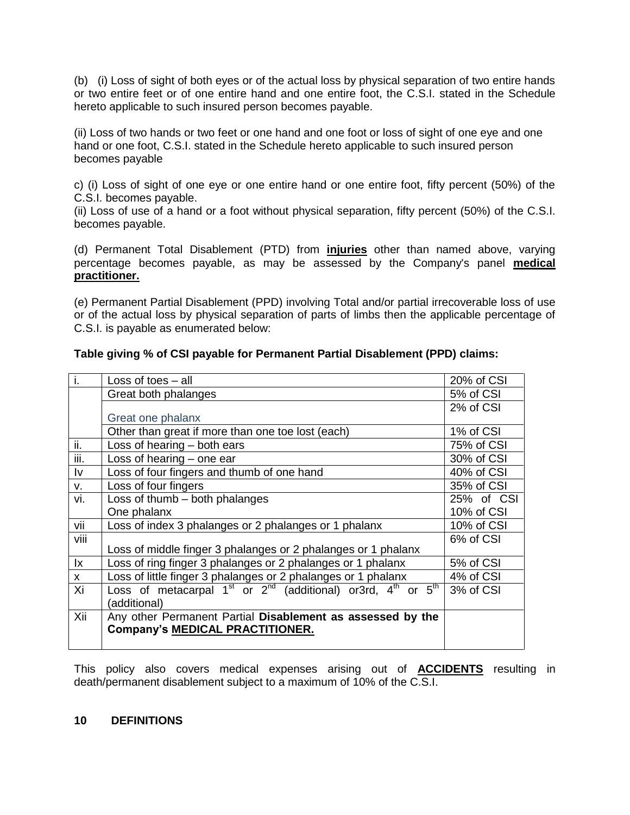(b) (i) Loss of sight of both eyes or of the actual loss by physical separation of two entire hands or two entire feet or of one entire hand and one entire foot, the C.S.I. stated in the Schedule hereto applicable to such insured person becomes payable.

(ii) Loss of two hands or two feet or one hand and one foot or loss of sight of one eye and one hand or one foot, C.S.I. stated in the Schedule hereto applicable to such insured person becomes payable

c) (i) Loss of sight of one eye or one entire hand or one entire foot, fifty percent (50%) of the C.S.I. becomes payable.

(ii) Loss of use of a hand or a foot without physical separation, fifty percent (50%) of the C.S.I. becomes payable.

(d) Permanent Total Disablement (PTD) from **injuries** other than named above, varying percentage becomes payable, as may be assessed by the Company's panel **medical practitioner.**

(e) Permanent Partial Disablement (PPD) involving Total and/or partial irrecoverable loss of use or of the actual loss by physical separation of parts of limbs then the applicable percentage of C.S.I. is payable as enumerated below:

| $\overline{1}$ .       | Loss of toes $-$ all                                                              | 20% of CSI |
|------------------------|-----------------------------------------------------------------------------------|------------|
|                        | Great both phalanges                                                              | 5% of CSI  |
|                        |                                                                                   | 2% of CSI  |
|                        | Great one phalanx                                                                 |            |
|                        | Other than great if more than one toe lost (each)                                 | 1% of CSI  |
| ii.                    | Loss of hearing - both ears                                                       | 75% of CSI |
| iii.                   | Loss of hearing - one ear                                                         | 30% of CSI |
| Iv                     | Loss of four fingers and thumb of one hand                                        | 40% of CSI |
| v.                     | Loss of four fingers                                                              | 35% of CSI |
| vi.                    | Loss of thumb - both phalanges                                                    | 25% of CSI |
|                        | One phalanx                                                                       | 10% of CSI |
| vii                    | Loss of index 3 phalanges or 2 phalanges or 1 phalanx                             | 10% of CSI |
| viii                   |                                                                                   | 6% of CSI  |
|                        | Loss of middle finger 3 phalanges or 2 phalanges or 1 phalanx                     |            |
| $\mathsf{I}\mathsf{x}$ | Loss of ring finger 3 phalanges or 2 phalanges or 1 phalanx                       | 5% of CSI  |
| $\mathsf{x}$           | Loss of little finger 3 phalanges or 2 phalanges or 1 phalanx                     | 4% of CSI  |
| Xi                     | Loss of metacarpal $1^{st}$ or $2^{nd}$ (additional) or 3rd, $4^{th}$ or $5^{th}$ | 3% of CSI  |
|                        | (additional)                                                                      |            |
| Xii                    | Any other Permanent Partial Disablement as assessed by the                        |            |
|                        | <b>Company's MEDICAL PRACTITIONER.</b>                                            |            |
|                        |                                                                                   |            |

# **Table giving % of CSI payable for Permanent Partial Disablement (PPD) claims:**

This policy also covers medical expenses arising out of **ACCIDENTS** resulting in death/permanent disablement subject to a maximum of 10% of the C.S.I.

### **10 DEFINITIONS**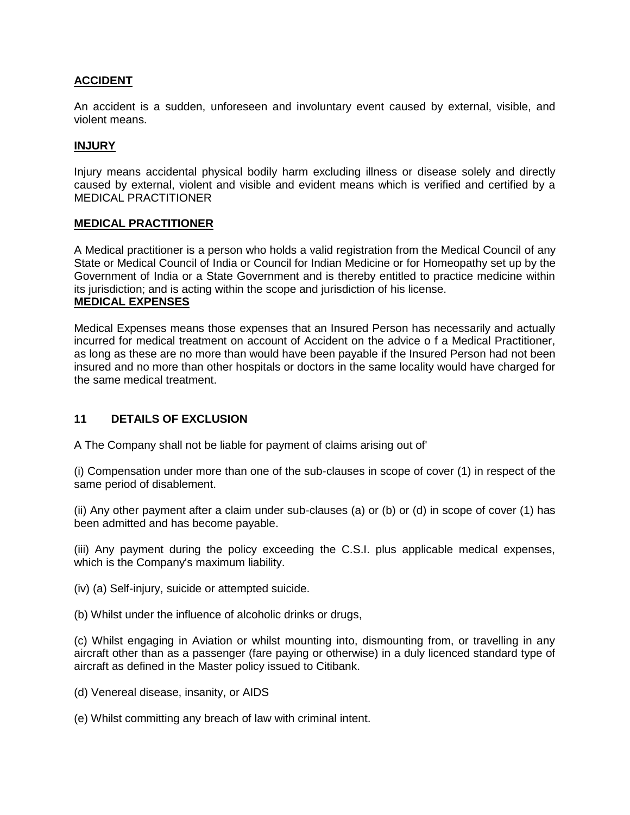# **ACCIDENT**

An accident is a sudden, unforeseen and involuntary event caused by external, visible, and violent means.

# **INJURY**

Injury means accidental physical bodily harm excluding illness or disease solely and directly caused by external, violent and visible and evident means which is verified and certified by a MEDICAL PRACTITIONER

### **MEDICAL PRACTITIONER**

A Medical practitioner is a person who holds a valid registration from the Medical Council of any State or Medical Council of India or Council for Indian Medicine or for Homeopathy set up by the Government of India or a State Government and is thereby entitled to practice medicine within its jurisdiction; and is acting within the scope and jurisdiction of his license. **MEDICAL EXPENSES**

Medical Expenses means those expenses that an Insured Person has necessarily and actually incurred for medical treatment on account of Accident on the advice o f a Medical Practitioner, as long as these are no more than would have been payable if the Insured Person had not been insured and no more than other hospitals or doctors in the same locality would have charged for the same medical treatment.

# **11 DETAILS OF EXCLUSION**

A The Company shall not be liable for payment of claims arising out of'

(i) Compensation under more than one of the sub-clauses in scope of cover (1) in respect of the same period of disablement.

(ii) Any other payment after a claim under sub-clauses (a) or (b) or (d) in scope of cover (1) has been admitted and has become payable.

(iii) Any payment during the policy exceeding the C.S.I. plus applicable medical expenses, which is the Company's maximum liability.

(iv) (a) Self-injury, suicide or attempted suicide.

(b) Whilst under the influence of alcoholic drinks or drugs,

(c) Whilst engaging in Aviation or whilst mounting into, dismounting from, or travelling in any aircraft other than as a passenger (fare paying or otherwise) in a duly licenced standard type of aircraft as defined in the Master policy issued to Citibank.

- (d) Venereal disease, insanity, or AIDS
- (e) Whilst committing any breach of law with criminal intent.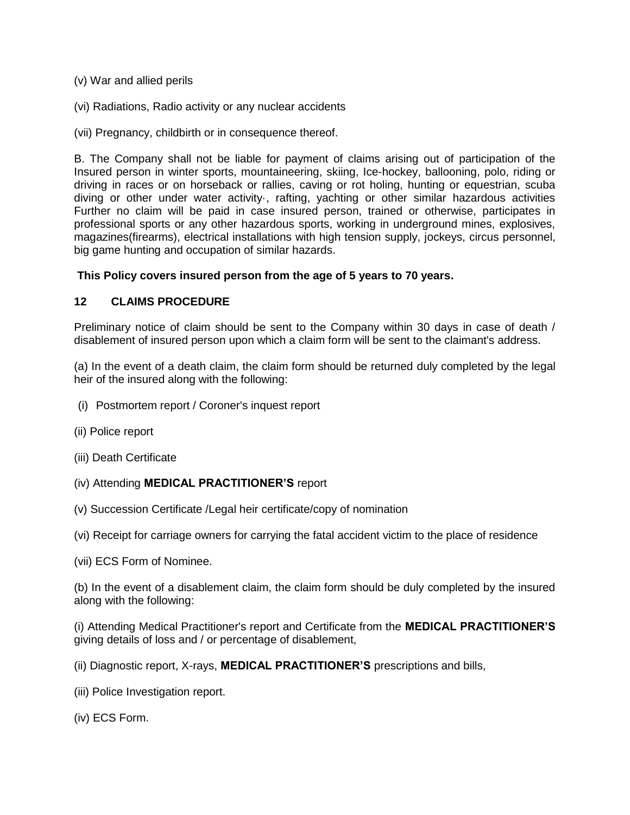- (v) War and allied perils
- (vi) Radiations, Radio activity or any nuclear accidents
- (vii) Pregnancy, childbirth or in consequence thereof.

B. The Company shall not be liable for payment of claims arising out of participation of the Insured person in winter sports, mountaineering, skiing, Ice-hockey, ballooning, polo, riding or driving in races or on horseback or rallies, caving or rot holing, hunting or equestrian, scuba diving or other under water activity·, rafting, yachting or other similar hazardous activities Further no claim will be paid in case insured person, trained or otherwise, participates in professional sports or any other hazardous sports, working in underground mines, explosives, magazines(firearms), electrical installations with high tension supply, jockeys, circus personnel, big game hunting and occupation of similar hazards.

### **This Policy covers insured person from the age of 5 years to 70 years.**

### **12 CLAIMS PROCEDURE**

Preliminary notice of claim should be sent to the Company within 30 days in case of death / disablement of insured person upon which a claim form will be sent to the claimant's address.

(a) In the event of a death claim, the claim form should be returned duly completed by the legal heir of the insured along with the following:

- (i) Postmortem report / Coroner's inquest report
- (ii) Police report
- (iii) Death Certificate
- (iv) Attending **MEDICAL PRACTITIONER'S** report
- (v) Succession Certificate /Legal heir certificate/copy of nomination
- (vi) Receipt for carriage owners for carrying the fatal accident victim to the place of residence
- (vii) ECS Form of Nominee.

(b) In the event of a disablement claim, the claim form should be duly completed by the insured along with the following:

(i) Attending Medical Practitioner's report and Certificate from the **MEDICAL PRACTITIONER'S** giving details of loss and / or percentage of disablement,

(ii) Diagnostic report, X-rays, **MEDICAL PRACTITIONER'S** prescriptions and bills,

(iii) Police Investigation report.

(iv) ECS Form.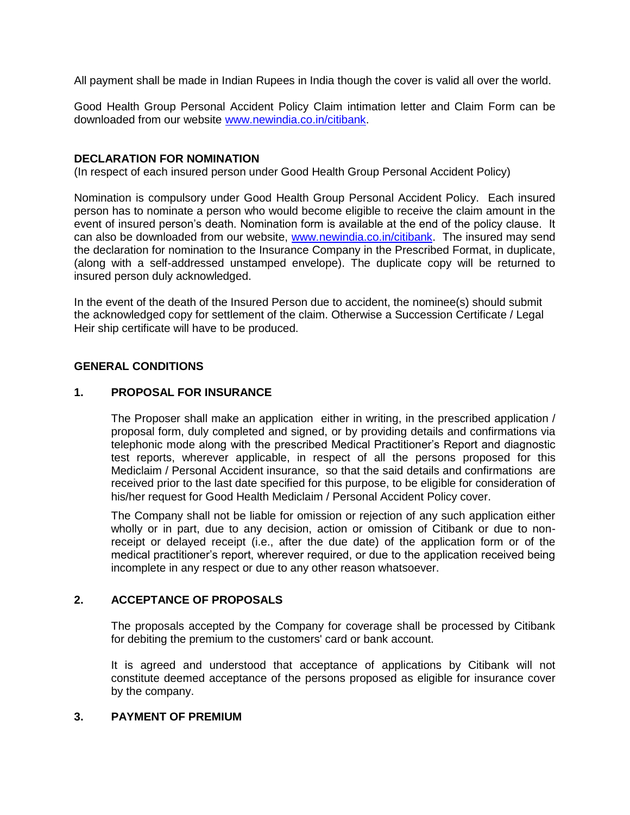All payment shall be made in Indian Rupees in India though the cover is valid all over the world.

Good Health Group Personal Accident Policy Claim intimation letter and Claim Form can be downloaded from our website [www.newindia.co.in/citibank.](http://www.newindia.co.in/citibank)

### **DECLARATION FOR NOMINATION**

(In respect of each insured person under Good Health Group Personal Accident Policy)

Nomination is compulsory under Good Health Group Personal Accident Policy. Each insured person has to nominate a person who would become eligible to receive the claim amount in the event of insured person's death. Nomination form is available at the end of the policy clause. It can also be downloaded from our website, [www.newindia.co.in/citibank.](http://www.newindia.co.in/citibank) The insured may send the declaration for nomination to the Insurance Company in the Prescribed Format, in duplicate, (along with a self-addressed unstamped envelope). The duplicate copy will be returned to insured person duly acknowledged.

In the event of the death of the Insured Person due to accident, the nominee(s) should submit the acknowledged copy for settlement of the claim. Otherwise a Succession Certificate / Legal Heir ship certificate will have to be produced.

### **GENERAL CONDITIONS**

### **1. PROPOSAL FOR INSURANCE**

The Proposer shall make an application either in writing, in the prescribed application / proposal form, duly completed and signed, or by providing details and confirmations via telephonic mode along with the prescribed Medical Practitioner's Report and diagnostic test reports, wherever applicable, in respect of all the persons proposed for this Mediclaim / Personal Accident insurance, so that the said details and confirmations are received prior to the last date specified for this purpose, to be eligible for consideration of his/her request for Good Health Mediclaim / Personal Accident Policy cover.

The Company shall not be liable for omission or rejection of any such application either wholly or in part, due to any decision, action or omission of Citibank or due to nonreceipt or delayed receipt (i.e., after the due date) of the application form or of the medical practitioner's report, wherever required, or due to the application received being incomplete in any respect or due to any other reason whatsoever.

### **2. ACCEPTANCE OF PROPOSALS**

The proposals accepted by the Company for coverage shall be processed by Citibank for debiting the premium to the customers' card or bank account.

It is agreed and understood that acceptance of applications by Citibank will not constitute deemed acceptance of the persons proposed as eligible for insurance cover by the company.

### **3. PAYMENT OF PREMIUM**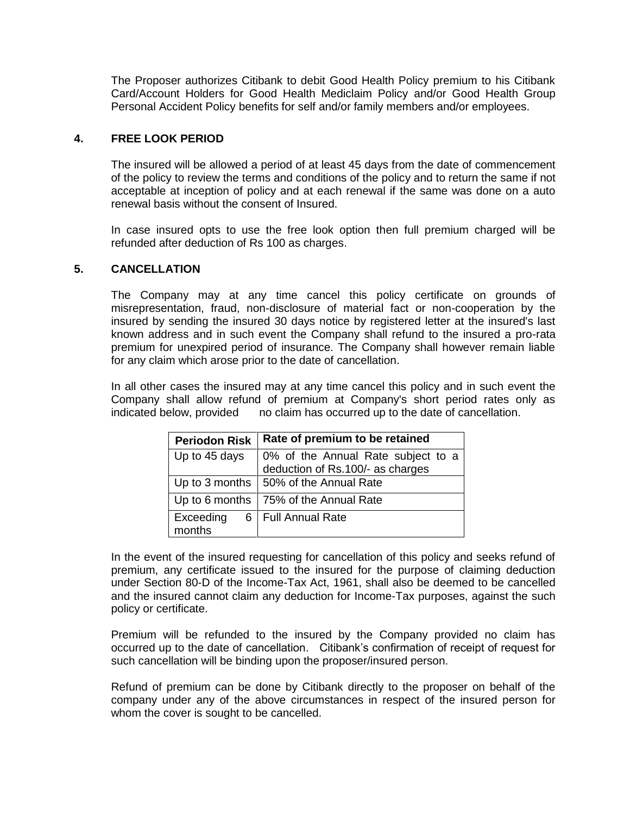The Proposer authorizes Citibank to debit Good Health Policy premium to his Citibank Card/Account Holders for Good Health Mediclaim Policy and/or Good Health Group Personal Accident Policy benefits for self and/or family members and/or employees.

### **4. FREE LOOK PERIOD**

The insured will be allowed a period of at least 45 days from the date of commencement of the policy to review the terms and conditions of the policy and to return the same if not acceptable at inception of policy and at each renewal if the same was done on a auto renewal basis without the consent of Insured.

In case insured opts to use the free look option then full premium charged will be refunded after deduction of Rs 100 as charges.

### **5. CANCELLATION**

The Company may at any time cancel this policy certificate on grounds of misrepresentation, fraud, non-disclosure of material fact or non-cooperation by the insured by sending the insured 30 days notice by registered letter at the insured's last known address and in such event the Company shall refund to the insured a pro-rata premium for unexpired period of insurance. The Company shall however remain liable for any claim which arose prior to the date of cancellation.

In all other cases the insured may at any time cancel this policy and in such event the Company shall allow refund of premium at Company's short period rates only as indicated below, provided no claim has occurred up to the date of cancellation.

| <b>Periodon Risk</b> | Rate of premium to be retained                                      |
|----------------------|---------------------------------------------------------------------|
| Up to 45 days        | 0% of the Annual Rate subject to a deduction of Rs.100/- as charges |
| Up to 3 months       | 50% of the Annual Rate                                              |
| Up to 6 months       | 75% of the Annual Rate                                              |
| Exceeding<br>months  | 6   Full Annual Rate                                                |

In the event of the insured requesting for cancellation of this policy and seeks refund of premium, any certificate issued to the insured for the purpose of claiming deduction under Section 80-D of the Income-Tax Act, 1961, shall also be deemed to be cancelled and the insured cannot claim any deduction for Income-Tax purposes, against the such policy or certificate.

Premium will be refunded to the insured by the Company provided no claim has occurred up to the date of cancellation. Citibank's confirmation of receipt of request for such cancellation will be binding upon the proposer/insured person.

Refund of premium can be done by Citibank directly to the proposer on behalf of the company under any of the above circumstances in respect of the insured person for whom the cover is sought to be cancelled.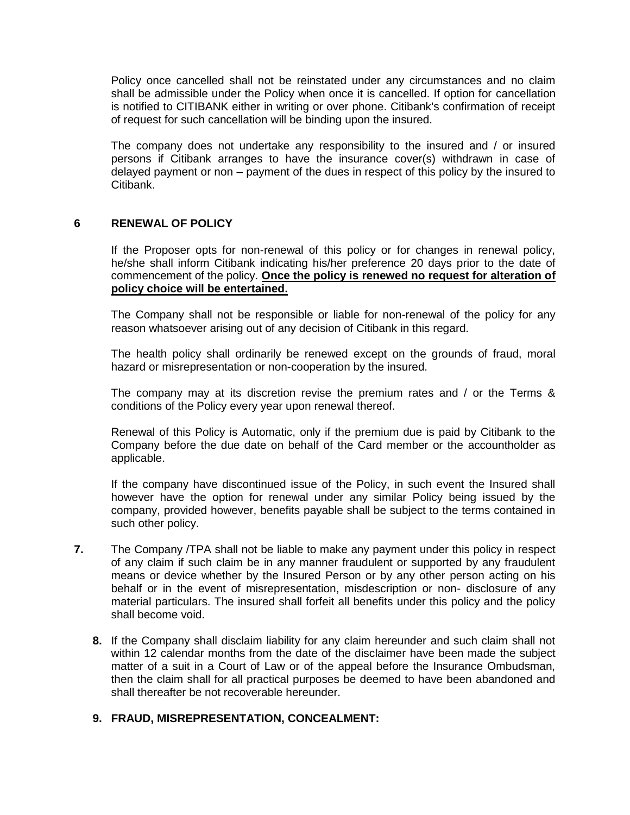Policy once cancelled shall not be reinstated under any circumstances and no claim shall be admissible under the Policy when once it is cancelled. If option for cancellation is notified to CITIBANK either in writing or over phone. Citibank's confirmation of receipt of request for such cancellation will be binding upon the insured.

The company does not undertake any responsibility to the insured and / or insured persons if Citibank arranges to have the insurance cover(s) withdrawn in case of delayed payment or non – payment of the dues in respect of this policy by the insured to Citibank.

### **6 RENEWAL OF POLICY**

If the Proposer opts for non-renewal of this policy or for changes in renewal policy, he/she shall inform Citibank indicating his/her preference 20 days prior to the date of commencement of the policy. **Once the policy is renewed no request for alteration of policy choice will be entertained.**

The Company shall not be responsible or liable for non-renewal of the policy for any reason whatsoever arising out of any decision of Citibank in this regard.

The health policy shall ordinarily be renewed except on the grounds of fraud, moral hazard or misrepresentation or non-cooperation by the insured.

The company may at its discretion revise the premium rates and / or the Terms & conditions of the Policy every year upon renewal thereof.

Renewal of this Policy is Automatic, only if the premium due is paid by Citibank to the Company before the due date on behalf of the Card member or the accountholder as applicable.

If the company have discontinued issue of the Policy, in such event the Insured shall however have the option for renewal under any similar Policy being issued by the company, provided however, benefits payable shall be subject to the terms contained in such other policy.

- **7.** The Company /TPA shall not be liable to make any payment under this policy in respect of any claim if such claim be in any manner fraudulent or supported by any fraudulent means or device whether by the Insured Person or by any other person acting on his behalf or in the event of misrepresentation, misdescription or non- disclosure of any material particulars. The insured shall forfeit all benefits under this policy and the policy shall become void.
	- **8.** If the Company shall disclaim liability for any claim hereunder and such claim shall not within 12 calendar months from the date of the disclaimer have been made the subject matter of a suit in a Court of Law or of the appeal before the Insurance Ombudsman, then the claim shall for all practical purposes be deemed to have been abandoned and shall thereafter be not recoverable hereunder.

### **9. FRAUD, MISREPRESENTATION, CONCEALMENT:**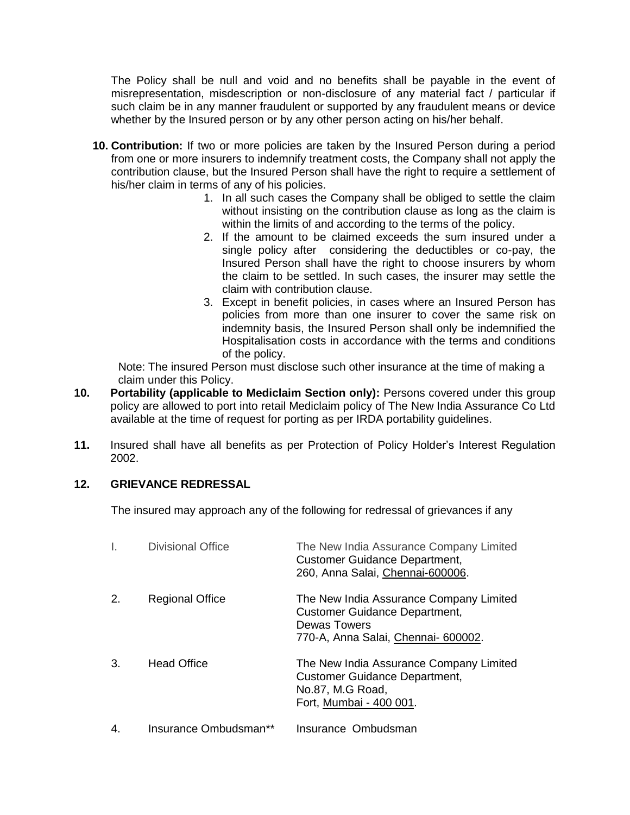The Policy shall be null and void and no benefits shall be payable in the event of misrepresentation, misdescription or non-disclosure of any material fact / particular if such claim be in any manner fraudulent or supported by any fraudulent means or device whether by the Insured person or by any other person acting on his/her behalf.

- **10. Contribution:** If two or more policies are taken by the Insured Person during a period from one or more insurers to indemnify treatment costs, the Company shall not apply the contribution clause, but the Insured Person shall have the right to require a settlement of his/her claim in terms of any of his policies.
	- 1. In all such cases the Company shall be obliged to settle the claim without insisting on the contribution clause as long as the claim is within the limits of and according to the terms of the policy.
	- 2. If the amount to be claimed exceeds the sum insured under a single policy after considering the deductibles or co-pay, the Insured Person shall have the right to choose insurers by whom the claim to be settled. In such cases, the insurer may settle the claim with contribution clause.
	- 3. Except in benefit policies, in cases where an Insured Person has policies from more than one insurer to cover the same risk on indemnity basis, the Insured Person shall only be indemnified the Hospitalisation costs in accordance with the terms and conditions of the policy.

 Note: The insured Person must disclose such other insurance at the time of making a claim under this Policy.

- **10. Portability (applicable to Mediclaim Section only):** Persons covered under this group policy are allowed to port into retail Mediclaim policy of The New India Assurance Co Ltd available at the time of request for porting as per IRDA portability guidelines.
- **11.** Insured shall have all benefits as per Protection of Policy Holder's Interest Regulation 2002.

# **12. GRIEVANCE REDRESSAL**

The insured may approach any of the following for redressal of grievances if any

|    | <b>Divisional Office</b> | The New India Assurance Company Limited<br><b>Customer Guidance Department,</b><br>260, Anna Salai, Chennai-600006.                           |
|----|--------------------------|-----------------------------------------------------------------------------------------------------------------------------------------------|
| 2. | <b>Regional Office</b>   | The New India Assurance Company Limited<br><b>Customer Guidance Department,</b><br><b>Dewas Towers</b><br>770-A, Anna Salai, Chennai- 600002. |
| 3. | <b>Head Office</b>       | The New India Assurance Company Limited<br><b>Customer Guidance Department,</b><br>No.87, M.G Road,<br>Fort, Mumbai - 400 001.                |
| 4. | Insurance Ombudsman**    | Insurance Ombudsman                                                                                                                           |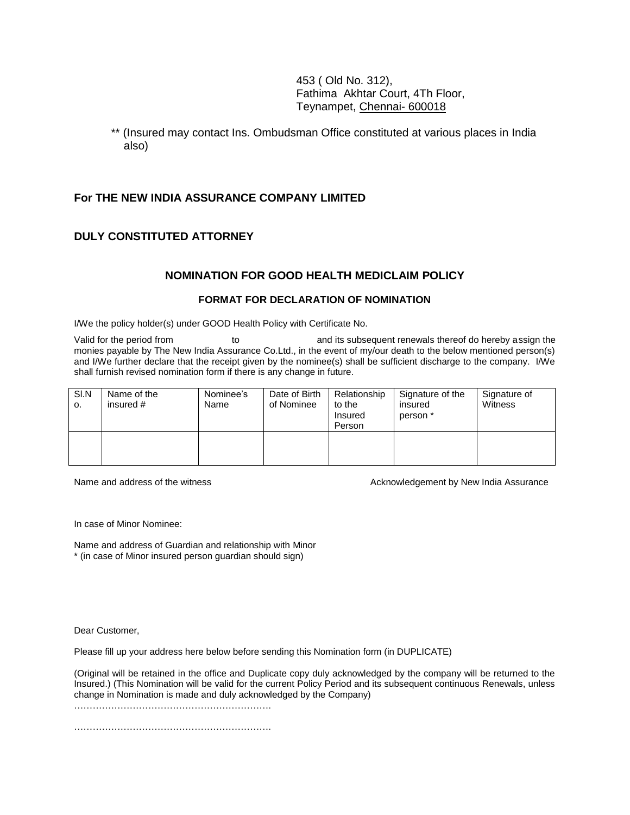453 ( Old No. 312), Fathima Akhtar Court, 4Th Floor, Teynampet, Chennai- 600018

\*\* (Insured may contact Ins. Ombudsman Office constituted at various places in India also)

### **For THE NEW INDIA ASSURANCE COMPANY LIMITED**

### **DULY CONSTITUTED ATTORNEY**

### **NOMINATION FOR GOOD HEALTH MEDICLAIM POLICY**

#### **FORMAT FOR DECLARATION OF NOMINATION**

I/We the policy holder(s) under GOOD Health Policy with Certificate No.

Valid for the period from to to and its subsequent renewals thereof do hereby assign the monies payable by The New India Assurance Co.Ltd., in the event of my/our death to the below mentioned person(s) and I/We further declare that the receipt given by the nominee(s) shall be sufficient discharge to the company. I/We shall furnish revised nomination form if there is any change in future.

| SI.N<br>о. | Name of the<br>insured $#$ | Nominee's<br>Name | Date of Birth<br>of Nominee | Relationship<br>to the<br>Insured<br>Person | Signature of the<br>insured<br>person * | Signature of<br>Witness |
|------------|----------------------------|-------------------|-----------------------------|---------------------------------------------|-----------------------------------------|-------------------------|
|            |                            |                   |                             |                                             |                                         |                         |

Name and address of the witness Acknowledgement by New India Assurance

In case of Minor Nominee:

Name and address of Guardian and relationship with Minor \* (in case of Minor insured person guardian should sign)

Dear Customer,

Please fill up your address here below before sending this Nomination form (in DUPLICATE)

(Original will be retained in the office and Duplicate copy duly acknowledged by the company will be returned to the Insured.) (This Nomination will be valid for the current Policy Period and its subsequent continuous Renewals, unless change in Nomination is made and duly acknowledged by the Company)

………………………………………………………………

…………………………………………………………………………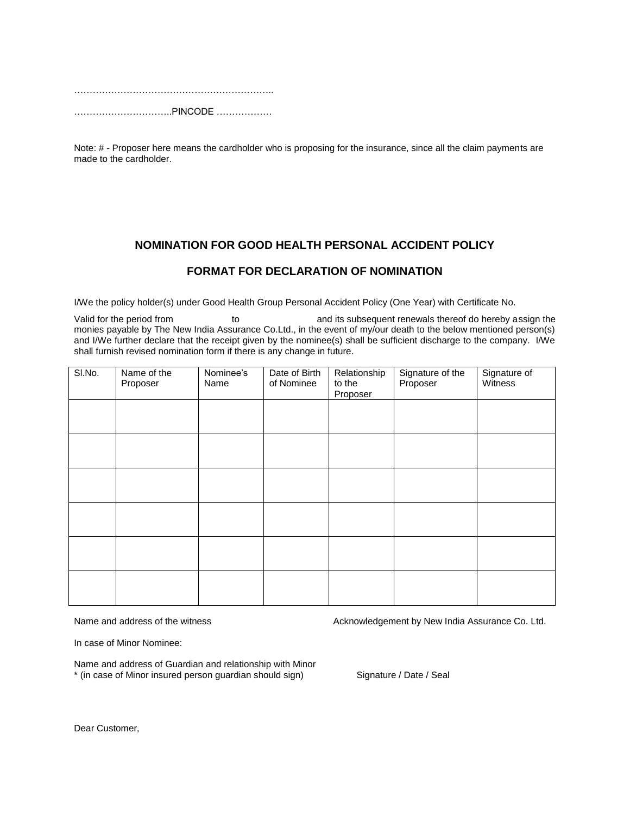……………………………………………………………… …………………………..PINCODE ………………

Note: # - Proposer here means the cardholder who is proposing for the insurance, since all the claim payments are made to the cardholder.

### **NOMINATION FOR GOOD HEALTH PERSONAL ACCIDENT POLICY**

### **FORMAT FOR DECLARATION OF NOMINATION**

I/We the policy holder(s) under Good Health Group Personal Accident Policy (One Year) with Certificate No.

Valid for the period from to to and its subsequent renewals thereof do hereby assign the monies payable by The New India Assurance Co.Ltd., in the event of my/our death to the below mentioned person(s) and I/We further declare that the receipt given by the nominee(s) shall be sufficient discharge to the company. I/We shall furnish revised nomination form if there is any change in future.

| SI.No. | Name of the<br>Proposer | Nominee's<br>Name | Date of Birth<br>of Nominee | Relationship<br>to the<br>Proposer | Signature of the<br>Proposer | Signature of<br>Witness |
|--------|-------------------------|-------------------|-----------------------------|------------------------------------|------------------------------|-------------------------|
|        |                         |                   |                             |                                    |                              |                         |
|        |                         |                   |                             |                                    |                              |                         |
|        |                         |                   |                             |                                    |                              |                         |
|        |                         |                   |                             |                                    |                              |                         |
|        |                         |                   |                             |                                    |                              |                         |
|        |                         |                   |                             |                                    |                              |                         |

Name and address of the witness **Acknowledgement by New India Assurance Co.** Ltd.

In case of Minor Nominee:

Name and address of Guardian and relationship with Minor \* (in case of Minor insured person guardian should sign) Signature / Date / Seal

Dear Customer,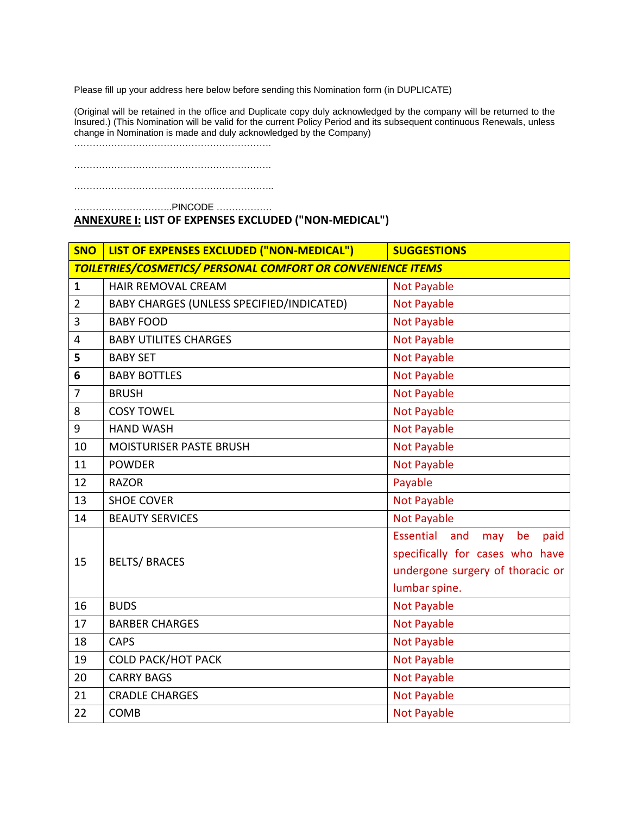Please fill up your address here below before sending this Nomination form (in DUPLICATE)

(Original will be retained in the office and Duplicate copy duly acknowledged by the company will be returned to the Insured.) (This Nomination will be valid for the current Policy Period and its subsequent continuous Renewals, unless change in Nomination is made and duly acknowledged by the Company)

……………………………………………………….

……………………………………………………….

………………………………………………………..

…………………………..PINCODE ………………

### **ANNEXURE I: LIST OF EXPENSES EXCLUDED ("NON-MEDICAL")**

| <b>SNO</b>                                                         | LIST OF EXPENSES EXCLUDED ("NON-MEDICAL") | <b>SUGGESTIONS</b>                                                                                                                   |
|--------------------------------------------------------------------|-------------------------------------------|--------------------------------------------------------------------------------------------------------------------------------------|
| <b>TOILETRIES/COSMETICS/ PERSONAL COMFORT OR CONVENIENCE ITEMS</b> |                                           |                                                                                                                                      |
| $\mathbf{1}$                                                       | <b>HAIR REMOVAL CREAM</b>                 | <b>Not Payable</b>                                                                                                                   |
| $\overline{2}$                                                     | BABY CHARGES (UNLESS SPECIFIED/INDICATED) | <b>Not Payable</b>                                                                                                                   |
| 3                                                                  | <b>BABY FOOD</b>                          | <b>Not Payable</b>                                                                                                                   |
| 4                                                                  | <b>BABY UTILITES CHARGES</b>              | <b>Not Payable</b>                                                                                                                   |
| 5                                                                  | <b>BABY SET</b>                           | <b>Not Payable</b>                                                                                                                   |
| 6                                                                  | <b>BABY BOTTLES</b>                       | <b>Not Payable</b>                                                                                                                   |
| $\overline{7}$                                                     | <b>BRUSH</b>                              | <b>Not Payable</b>                                                                                                                   |
| 8                                                                  | <b>COSY TOWEL</b>                         | <b>Not Payable</b>                                                                                                                   |
| 9                                                                  | <b>HAND WASH</b>                          | <b>Not Payable</b>                                                                                                                   |
| 10                                                                 | <b>MOISTURISER PASTE BRUSH</b>            | <b>Not Payable</b>                                                                                                                   |
| 11                                                                 | <b>POWDER</b>                             | <b>Not Payable</b>                                                                                                                   |
| 12                                                                 | <b>RAZOR</b>                              | Payable                                                                                                                              |
| 13                                                                 | <b>SHOE COVER</b>                         | <b>Not Payable</b>                                                                                                                   |
| 14                                                                 | <b>BEAUTY SERVICES</b>                    | <b>Not Payable</b>                                                                                                                   |
| 15                                                                 | <b>BELTS/ BRACES</b>                      | <b>Essential</b><br>and<br>be<br>paid<br>may<br>specifically for cases who have<br>undergone surgery of thoracic or<br>lumbar spine. |
| 16                                                                 | <b>BUDS</b>                               | <b>Not Payable</b>                                                                                                                   |
| 17                                                                 | <b>BARBER CHARGES</b>                     | <b>Not Payable</b>                                                                                                                   |
| 18                                                                 | <b>CAPS</b>                               | <b>Not Payable</b>                                                                                                                   |
| 19                                                                 | <b>COLD PACK/HOT PACK</b>                 | <b>Not Payable</b>                                                                                                                   |
| 20                                                                 | <b>CARRY BAGS</b>                         | <b>Not Payable</b>                                                                                                                   |
| 21                                                                 | <b>CRADLE CHARGES</b>                     | <b>Not Payable</b>                                                                                                                   |
| 22                                                                 | <b>COMB</b>                               | <b>Not Payable</b>                                                                                                                   |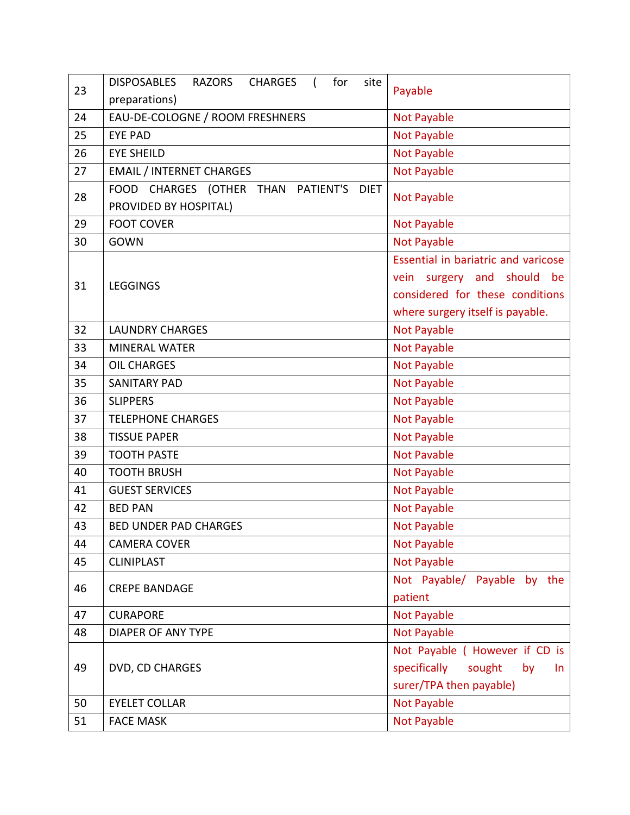| 23 | <b>DISPOSABLES</b><br><b>RAZORS</b><br><b>CHARGES</b><br>for<br>site                                        | Payable                                                        |
|----|-------------------------------------------------------------------------------------------------------------|----------------------------------------------------------------|
|    | preparations)                                                                                               |                                                                |
| 24 | EAU-DE-COLOGNE / ROOM FRESHNERS                                                                             | <b>Not Payable</b>                                             |
| 25 | <b>EYE PAD</b>                                                                                              | <b>Not Payable</b>                                             |
| 26 | <b>EYE SHEILD</b>                                                                                           | <b>Not Payable</b>                                             |
| 27 | <b>EMAIL / INTERNET CHARGES</b>                                                                             | <b>Not Payable</b>                                             |
| 28 | <b>FOOD</b><br><b>CHARGES</b><br>(OTHER<br><b>THAN</b><br>PATIENT'S<br><b>DIET</b><br>PROVIDED BY HOSPITAL) | <b>Not Payable</b>                                             |
| 29 | <b>FOOT COVER</b>                                                                                           | <b>Not Payable</b>                                             |
| 30 | <b>GOWN</b>                                                                                                 | <b>Not Payable</b>                                             |
|    |                                                                                                             | Essential in bariatric and varicose                            |
| 31 | <b>LEGGINGS</b>                                                                                             | surgery and should<br>be<br>vein                               |
|    |                                                                                                             | considered for these conditions                                |
|    |                                                                                                             | where surgery itself is payable.                               |
| 32 | <b>LAUNDRY CHARGES</b>                                                                                      | <b>Not Payable</b>                                             |
| 33 | <b>MINERAL WATER</b>                                                                                        | Not Payable                                                    |
| 34 | <b>OIL CHARGES</b>                                                                                          | <b>Not Payable</b>                                             |
| 35 | <b>SANITARY PAD</b>                                                                                         | <b>Not Payable</b>                                             |
| 36 | <b>SLIPPERS</b>                                                                                             | <b>Not Payable</b>                                             |
| 37 | <b>TELEPHONE CHARGES</b>                                                                                    | <b>Not Payable</b>                                             |
| 38 | <b>TISSUE PAPER</b>                                                                                         | <b>Not Payable</b>                                             |
| 39 | <b>TOOTH PASTE</b>                                                                                          | <b>Not Pavable</b>                                             |
| 40 | <b>TOOTH BRUSH</b>                                                                                          | <b>Not Payable</b>                                             |
| 41 | <b>GUEST SERVICES</b>                                                                                       | <b>Not Payable</b>                                             |
| 42 | <b>BED PAN</b>                                                                                              | Not Payable                                                    |
| 43 | <b>BED UNDER PAD CHARGES</b>                                                                                | <b>Not Payable</b>                                             |
| 44 | <b>CAMERA COVER</b>                                                                                         | <b>Not Payable</b>                                             |
| 45 | <b>CLINIPLAST</b>                                                                                           | <b>Not Payable</b>                                             |
| 46 | <b>CREPE BANDAGE</b>                                                                                        | Not Payable/ Payable by the<br>patient                         |
| 47 | <b>CURAPORE</b>                                                                                             |                                                                |
|    |                                                                                                             | <b>Not Payable</b>                                             |
| 48 | <b>DIAPER OF ANY TYPE</b>                                                                                   | Not Payable                                                    |
|    |                                                                                                             | Not Payable ( However if CD is                                 |
| 49 | DVD, CD CHARGES                                                                                             | specifically<br>sought<br>by<br>In.<br>surer/TPA then payable) |
|    |                                                                                                             |                                                                |
| 50 | <b>EYELET COLLAR</b>                                                                                        | <b>Not Payable</b>                                             |
| 51 | <b>FACE MASK</b>                                                                                            | <b>Not Payable</b>                                             |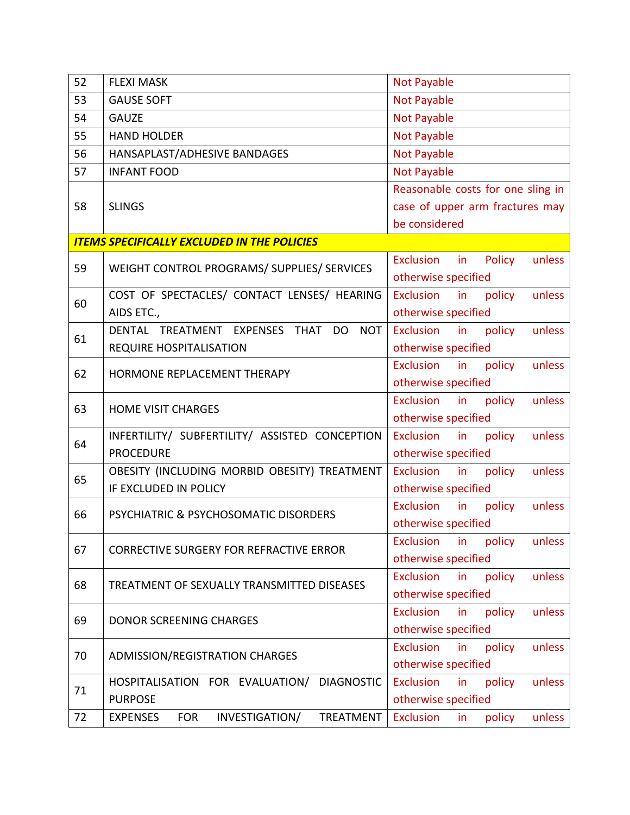| 52 | <b>FLEXI MASK</b>                                            | <b>Not Payable</b>                         |
|----|--------------------------------------------------------------|--------------------------------------------|
| 53 | <b>GAUSE SOFT</b>                                            | <b>Not Payable</b>                         |
| 54 | <b>GAUZE</b>                                                 | Not Payable                                |
| 55 | <b>HAND HOLDER</b>                                           | <b>Not Payable</b>                         |
| 56 | HANSAPLAST/ADHESIVE BANDAGES                                 | <b>Not Payable</b>                         |
| 57 | <b>INFANT FOOD</b>                                           | <b>Not Payable</b>                         |
|    |                                                              | Reasonable costs for one sling in          |
| 58 | <b>SLINGS</b>                                                | case of upper arm fractures may            |
|    |                                                              | be considered                              |
|    | <b>ITEMS SPECIFICALLY EXCLUDED IN THE POLICIES</b>           |                                            |
|    |                                                              | unless<br>Exclusion<br>in<br>Policy        |
| 59 | WEIGHT CONTROL PROGRAMS/ SUPPLIES/ SERVICES                  | otherwise specified                        |
| 60 | COST OF SPECTACLES/ CONTACT LENSES/ HEARING                  | Exclusion<br>in<br>policy<br>unless        |
|    | AIDS ETC.,                                                   | otherwise specified                        |
| 61 | DENTAL TREATMENT EXPENSES<br><b>THAT</b><br>DO<br><b>NOT</b> | Exclusion<br>in<br>policy<br>unless        |
|    | <b>REQUIRE HOSPITALISATION</b>                               | otherwise specified                        |
|    |                                                              | Exclusion<br>policy<br>unless<br>in        |
| 62 | HORMONE REPLACEMENT THERAPY                                  | otherwise specified                        |
|    |                                                              | Exclusion<br>in<br>policy<br>unless        |
| 63 | <b>HOME VISIT CHARGES</b>                                    | otherwise specified                        |
| 64 | INFERTILITY/ SUBFERTILITY/ ASSISTED CONCEPTION               | Exclusion in<br>unless<br>policy           |
|    | <b>PROCEDURE</b>                                             | otherwise specified                        |
| 65 | OBESITY (INCLUDING MORBID OBESITY) TREATMENT                 | Exclusion<br>policy<br>in<br>unless        |
|    | IF EXCLUDED IN POLICY                                        | otherwise specified                        |
| 66 | PSYCHIATRIC & PSYCHOSOMATIC DISORDERS                        | Exclusion<br>policy<br>in<br>unless        |
|    |                                                              | otherwise specified                        |
| 67 | <b>CORRECTIVE SURGERY FOR REFRACTIVE ERROR</b>               | <b>Exclusion</b><br>policy<br>unless<br>in |
|    |                                                              | otherwise specified                        |
| 68 | TREATMENT OF SEXUALLY TRANSMITTED DISEASES                   | <b>Exclusion</b><br>in<br>policy<br>unless |
|    |                                                              | otherwise specified                        |
| 69 | <b>DONOR SCREENING CHARGES</b>                               | Exclusion<br>policy<br>unless<br>in        |
|    |                                                              | otherwise specified                        |
| 70 |                                                              | Exclusion<br>in<br>policy<br>unless        |
|    | ADMISSION/REGISTRATION CHARGES                               | otherwise specified                        |
| 71 | HOSPITALISATION FOR EVALUATION/<br><b>DIAGNOSTIC</b>         | Exclusion<br>in<br>policy<br>unless        |
|    | <b>PURPOSE</b>                                               | otherwise specified                        |
| 72 | <b>EXPENSES</b><br><b>FOR</b><br>INVESTIGATION/<br>TREATMENT | Exclusion<br>policy<br>unless<br>in        |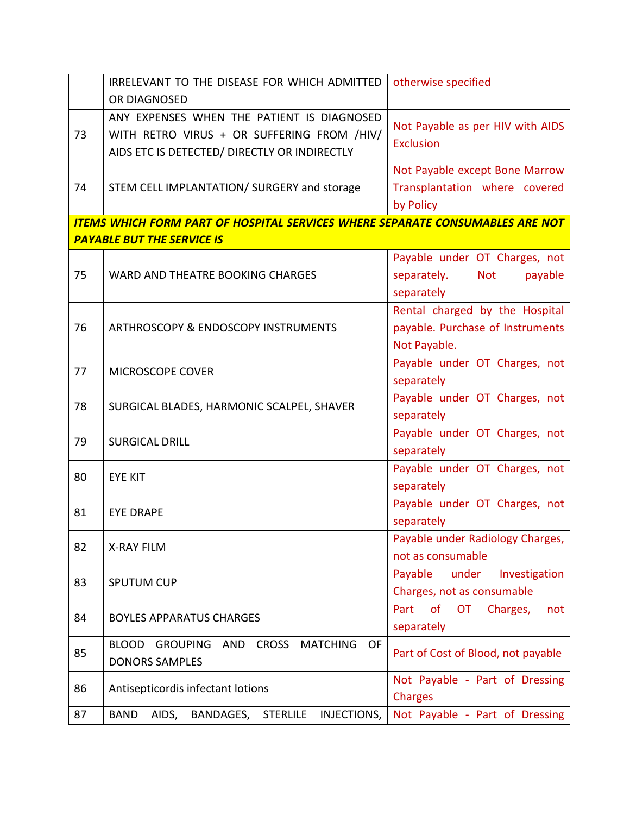|    | IRRELEVANT TO THE DISEASE FOR WHICH ADMITTED                                                                                             | otherwise specified                                                                 |
|----|------------------------------------------------------------------------------------------------------------------------------------------|-------------------------------------------------------------------------------------|
|    | OR DIAGNOSED                                                                                                                             |                                                                                     |
| 73 | ANY EXPENSES WHEN THE PATIENT IS DIAGNOSED<br>WITH RETRO VIRUS + OR SUFFERING FROM /HIV/<br>AIDS ETC IS DETECTED/ DIRECTLY OR INDIRECTLY | Not Payable as per HIV with AIDS<br><b>Exclusion</b>                                |
| 74 | STEM CELL IMPLANTATION/ SURGERY and storage                                                                                              | Not Payable except Bone Marrow<br>Transplantation where covered<br>by Policy        |
|    | <b>ITEMS WHICH FORM PART OF HOSPITAL SERVICES WHERE SEPARATE CONSUMABLES ARE NOT</b>                                                     |                                                                                     |
|    | <b>PAYABLE BUT THE SERVICE IS</b>                                                                                                        |                                                                                     |
| 75 | WARD AND THEATRE BOOKING CHARGES                                                                                                         | Payable under OT Charges, not<br><b>Not</b><br>separately.<br>payable<br>separately |
| 76 | ARTHROSCOPY & ENDOSCOPY INSTRUMENTS                                                                                                      | Rental charged by the Hospital<br>payable. Purchase of Instruments<br>Not Payable.  |
| 77 | MICROSCOPE COVER                                                                                                                         | Payable under OT Charges, not<br>separately                                         |
| 78 | SURGICAL BLADES, HARMONIC SCALPEL, SHAVER                                                                                                | Payable under OT Charges, not<br>separately                                         |
| 79 | <b>SURGICAL DRILL</b>                                                                                                                    | Payable under OT Charges, not<br>separately                                         |
| 80 | <b>EYE KIT</b>                                                                                                                           | Payable under OT Charges, not<br>separately                                         |
| 81 | <b>EYE DRAPE</b>                                                                                                                         | Payable under OT Charges, not<br>separately                                         |
| 82 | <b>X-RAY FILM</b>                                                                                                                        | Payable under Radiology Charges,<br>not as consumable                               |
| 83 | <b>SPUTUM CUP</b>                                                                                                                        | Payable<br>under<br>Investigation<br>Charges, not as consumable                     |
| 84 | <b>BOYLES APPARATUS CHARGES</b>                                                                                                          | of<br><b>OT</b><br>Part<br>Charges,<br>not<br>separately                            |
| 85 | <b>BLOOD GROUPING</b><br>AND CROSS<br><b>MATCHING</b><br>OF<br><b>DONORS SAMPLES</b>                                                     | Part of Cost of Blood, not payable                                                  |
| 86 | Antisepticordis infectant lotions                                                                                                        | Not Payable - Part of Dressing<br><b>Charges</b>                                    |
| 87 | BAND<br>AIDS,<br>BANDAGES, STERLILE<br>INJECTIONS,                                                                                       | Not Payable - Part of Dressing                                                      |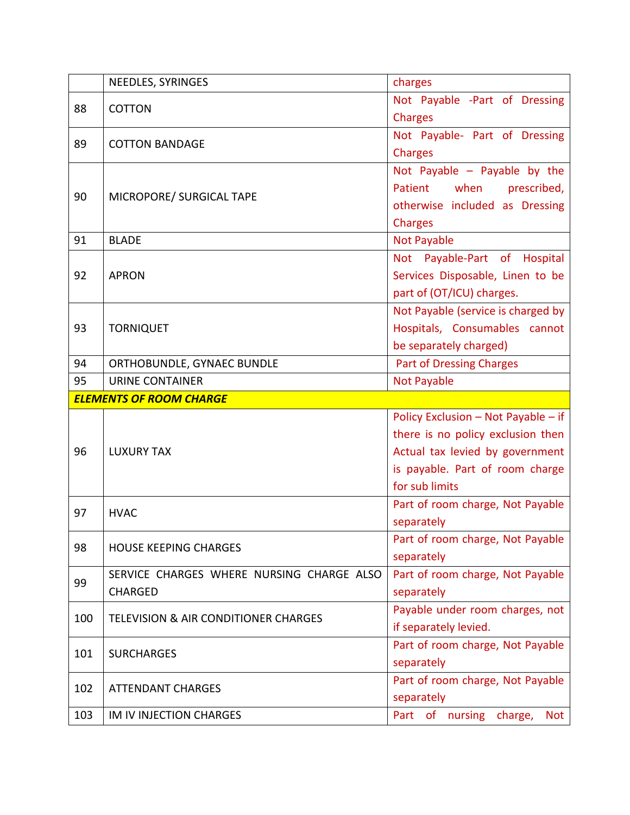|     | NEEDLES, SYRINGES                               | charges                             |
|-----|-------------------------------------------------|-------------------------------------|
| 88  | <b>COTTON</b>                                   | Not Payable -Part of Dressing       |
|     |                                                 | Charges                             |
| 89  | <b>COTTON BANDAGE</b>                           | Not Payable- Part of Dressing       |
|     |                                                 | <b>Charges</b>                      |
|     |                                                 | Not Payable - Payable by the        |
|     |                                                 | Patient<br>when<br>prescribed,      |
| 90  | MICROPORE/ SURGICAL TAPE                        | otherwise included as Dressing      |
|     |                                                 | Charges                             |
| 91  | <b>BLADE</b>                                    | Not Payable                         |
|     |                                                 | Not Payable-Part of Hospital        |
| 92  | <b>APRON</b>                                    | Services Disposable, Linen to be    |
|     |                                                 | part of (OT/ICU) charges.           |
|     |                                                 | Not Payable (service is charged by  |
| 93  | <b>TORNIQUET</b>                                | Hospitals, Consumables cannot       |
|     |                                                 | be separately charged)              |
| 94  | ORTHOBUNDLE, GYNAEC BUNDLE                      | <b>Part of Dressing Charges</b>     |
| 95  | <b>URINE CONTAINER</b>                          | Not Payable                         |
|     | <b>ELEMENTS OF ROOM CHARGE</b>                  |                                     |
|     |                                                 | Policy Exclusion - Not Payable - if |
|     |                                                 | there is no policy exclusion then   |
| 96  | <b>LUXURY TAX</b>                               | Actual tax levied by government     |
|     |                                                 | is payable. Part of room charge     |
|     |                                                 | for sub limits                      |
|     |                                                 |                                     |
| 97  |                                                 | Part of room charge, Not Payable    |
|     | <b>HVAC</b>                                     | separately                          |
|     |                                                 | Part of room charge, Not Payable    |
| 98  | <b>HOUSE KEEPING CHARGES</b>                    | separately                          |
|     | SERVICE CHARGES WHERE NURSING CHARGE ALSO       | Part of room charge, Not Payable    |
| 99  | <b>CHARGED</b>                                  | separately                          |
|     |                                                 | Payable under room charges, not     |
| 100 | <b>TELEVISION &amp; AIR CONDITIONER CHARGES</b> | if separately levied.               |
|     |                                                 | Part of room charge, Not Payable    |
| 101 | <b>SURCHARGES</b>                               | separately                          |
|     |                                                 | Part of room charge, Not Payable    |
| 102 | <b>ATTENDANT CHARGES</b>                        | separately                          |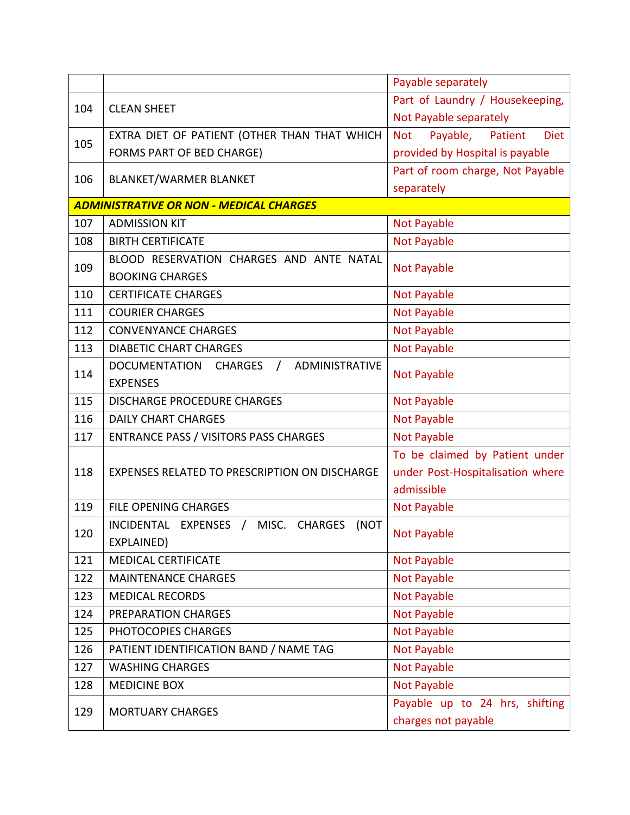|     |                                                            | Payable separately                     |
|-----|------------------------------------------------------------|----------------------------------------|
| 104 | <b>CLEAN SHEET</b>                                         | Part of Laundry / Housekeeping,        |
|     |                                                            | Not Payable separately                 |
| 105 | EXTRA DIET OF PATIENT (OTHER THAN THAT WHICH               | Payable, Patient<br>Not<br><b>Diet</b> |
|     | FORMS PART OF BED CHARGE)                                  | provided by Hospital is payable        |
| 106 | <b>BLANKET/WARMER BLANKET</b>                              | Part of room charge, Not Payable       |
|     |                                                            | separately                             |
|     | <b>ADMINISTRATIVE OR NON - MEDICAL CHARGES</b>             |                                        |
| 107 | <b>ADMISSION KIT</b>                                       | Not Payable                            |
| 108 | <b>BIRTH CERTIFICATE</b>                                   | <b>Not Payable</b>                     |
| 109 | BLOOD RESERVATION CHARGES AND ANTE NATAL                   |                                        |
|     | <b>BOOKING CHARGES</b>                                     | Not Payable                            |
| 110 | <b>CERTIFICATE CHARGES</b>                                 | <b>Not Payable</b>                     |
| 111 | <b>COURIER CHARGES</b>                                     | <b>Not Payable</b>                     |
| 112 | <b>CONVENYANCE CHARGES</b>                                 | <b>Not Payable</b>                     |
| 113 | <b>DIABETIC CHART CHARGES</b>                              | <b>Not Payable</b>                     |
| 114 | ADMINISTRATIVE<br>DOCUMENTATION<br>CHARGES /               |                                        |
|     | <b>EXPENSES</b>                                            | <b>Not Payable</b>                     |
| 115 | <b>DISCHARGE PROCEDURE CHARGES</b>                         | <b>Not Payable</b>                     |
| 116 | <b>DAILY CHART CHARGES</b>                                 | <b>Not Payable</b>                     |
| 117 | <b>ENTRANCE PASS / VISITORS PASS CHARGES</b>               | <b>Not Payable</b>                     |
|     | EXPENSES RELATED TO PRESCRIPTION ON DISCHARGE              | To be claimed by Patient under         |
| 118 |                                                            | under Post-Hospitalisation where       |
|     |                                                            | admissible                             |
| 119 | <b>FILE OPENING CHARGES</b>                                | Not Payable                            |
| 120 | MISC. CHARGES<br>INCIDENTAL EXPENSES<br>(NOT<br>$\sqrt{2}$ | <b>Not Payable</b>                     |
|     | EXPLAINED)                                                 |                                        |
| 121 | <b>MEDICAL CERTIFICATE</b>                                 | <b>Not Payable</b>                     |
| 122 | <b>MAINTENANCE CHARGES</b>                                 | <b>Not Payable</b>                     |
| 123 | <b>MEDICAL RECORDS</b>                                     | <b>Not Payable</b>                     |
| 124 | PREPARATION CHARGES                                        | <b>Not Payable</b>                     |
| 125 | PHOTOCOPIES CHARGES                                        | <b>Not Payable</b>                     |
| 126 | PATIENT IDENTIFICATION BAND / NAME TAG                     | Not Payable                            |
| 127 | <b>WASHING CHARGES</b>                                     | Not Payable                            |
| 128 | <b>MEDICINE BOX</b>                                        | <b>Not Payable</b>                     |
|     | <b>MORTUARY CHARGES</b>                                    | Payable up to 24 hrs, shifting         |
| 129 |                                                            | charges not payable                    |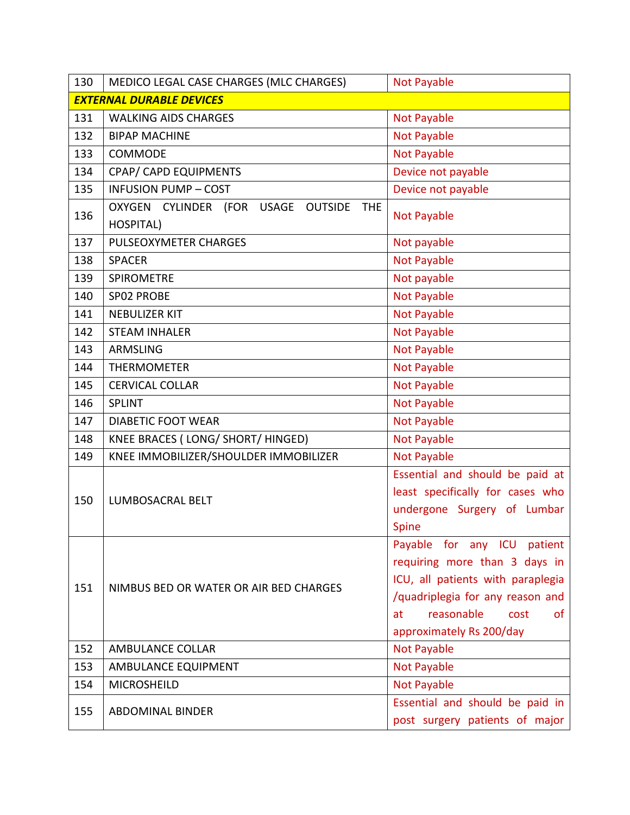| 130                             | MEDICO LEGAL CASE CHARGES (MLC CHARGES)                                       | <b>Not Payable</b>                                                                                                                                                                                         |
|---------------------------------|-------------------------------------------------------------------------------|------------------------------------------------------------------------------------------------------------------------------------------------------------------------------------------------------------|
| <b>EXTERNAL DURABLE DEVICES</b> |                                                                               |                                                                                                                                                                                                            |
| 131                             | <b>WALKING AIDS CHARGES</b>                                                   | <b>Not Payable</b>                                                                                                                                                                                         |
| 132                             | <b>BIPAP MACHINE</b>                                                          | <b>Not Payable</b>                                                                                                                                                                                         |
| 133                             | COMMODE                                                                       | <b>Not Payable</b>                                                                                                                                                                                         |
| 134                             | CPAP/ CAPD EQUIPMENTS                                                         | Device not payable                                                                                                                                                                                         |
| 135                             | <b>INFUSION PUMP - COST</b>                                                   | Device not payable                                                                                                                                                                                         |
| 136                             | OXYGEN CYLINDER<br>(FOR<br>USAGE<br><b>OUTSIDE</b><br><b>THE</b><br>HOSPITAL) | <b>Not Payable</b>                                                                                                                                                                                         |
| 137                             | PULSEOXYMETER CHARGES                                                         | Not payable                                                                                                                                                                                                |
| 138                             | <b>SPACER</b>                                                                 | <b>Not Payable</b>                                                                                                                                                                                         |
| 139                             | <b>SPIROMETRE</b>                                                             | Not payable                                                                                                                                                                                                |
| 140                             | SP02 PROBE                                                                    | <b>Not Payable</b>                                                                                                                                                                                         |
| 141                             | <b>NEBULIZER KIT</b>                                                          | <b>Not Payable</b>                                                                                                                                                                                         |
| 142                             | <b>STEAM INHALER</b>                                                          | <b>Not Payable</b>                                                                                                                                                                                         |
| 143                             | <b>ARMSLING</b>                                                               | Not Payable                                                                                                                                                                                                |
| 144                             | <b>THERMOMETER</b>                                                            | <b>Not Payable</b>                                                                                                                                                                                         |
| 145                             | <b>CERVICAL COLLAR</b>                                                        | <b>Not Payable</b>                                                                                                                                                                                         |
| 146                             | <b>SPLINT</b>                                                                 | <b>Not Payable</b>                                                                                                                                                                                         |
| 147                             | <b>DIABETIC FOOT WEAR</b>                                                     | <b>Not Payable</b>                                                                                                                                                                                         |
| 148                             | KNEE BRACES (LONG/ SHORT/ HINGED)                                             | <b>Not Payable</b>                                                                                                                                                                                         |
| 149                             | KNEE IMMOBILIZER/SHOULDER IMMOBILIZER                                         | <b>Not Payable</b>                                                                                                                                                                                         |
| 150                             | LUMBOSACRAL BELT                                                              | Essential and should be paid at<br>least specifically for cases who<br>undergone Surgery of Lumbar<br>Spine                                                                                                |
| 151                             | NIMBUS BED OR WATER OR AIR BED CHARGES                                        | Payable for any ICU patient<br>requiring more than 3 days in<br>ICU, all patients with paraplegia<br>/quadriplegia for any reason and<br>reasonable<br>cost<br><b>of</b><br>at<br>approximately Rs 200/day |
| 152                             | <b>AMBULANCE COLLAR</b>                                                       | Not Payable                                                                                                                                                                                                |
| 153                             | AMBULANCE EQUIPMENT                                                           | <b>Not Payable</b>                                                                                                                                                                                         |
| 154                             | <b>MICROSHEILD</b>                                                            | <b>Not Payable</b>                                                                                                                                                                                         |
| 155                             | <b>ABDOMINAL BINDER</b>                                                       | Essential and should be paid in<br>post surgery patients of major                                                                                                                                          |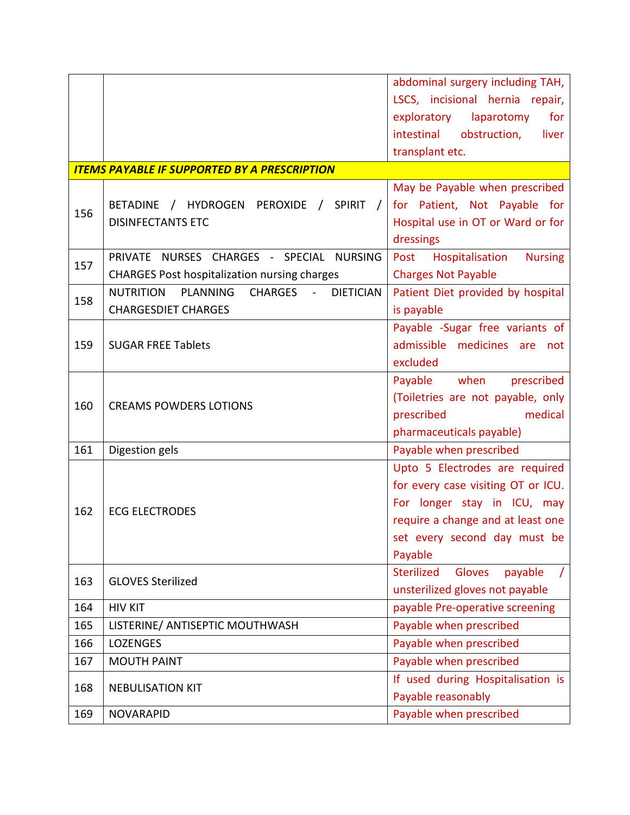|     |                                                               | abdominal surgery including TAH,              |
|-----|---------------------------------------------------------------|-----------------------------------------------|
|     |                                                               | LSCS, incisional hernia repair,               |
|     |                                                               | exploratory<br>laparotomy<br>for              |
|     |                                                               | intestinal<br>obstruction,<br>liver           |
|     |                                                               | transplant etc.                               |
|     | <b>ITEMS PAYABLE IF SUPPORTED BY A PRESCRIPTION</b>           |                                               |
|     |                                                               | May be Payable when prescribed                |
|     | BETADINE / HYDROGEN PEROXIDE /<br>SPIRIT /                    | for Patient, Not Payable for                  |
| 156 | <b>DISINFECTANTS ETC</b>                                      | Hospital use in OT or Ward or for             |
|     |                                                               | dressings                                     |
|     | PRIVATE NURSES CHARGES - SPECIAL<br><b>NURSING</b>            | Post<br>Hospitalisation<br><b>Nursing</b>     |
| 157 | <b>CHARGES Post hospitalization nursing charges</b>           | <b>Charges Not Payable</b>                    |
|     | <b>NUTRITION</b><br>PLANNING<br>CHARGES -<br><b>DIETICIAN</b> | Patient Diet provided by hospital             |
| 158 | <b>CHARGESDIET CHARGES</b>                                    | is payable                                    |
|     |                                                               | Payable -Sugar free variants of               |
| 159 | <b>SUGAR FREE Tablets</b>                                     | admissible medicines are not                  |
|     |                                                               | excluded                                      |
|     |                                                               | when<br>Payable<br>prescribed                 |
|     |                                                               | (Toiletries are not payable, only             |
| 160 | <b>CREAMS POWDERS LOTIONS</b>                                 | medical<br>prescribed                         |
|     |                                                               | pharmaceuticals payable)                      |
| 161 | Digestion gels                                                | Payable when prescribed                       |
|     |                                                               | Upto 5 Electrodes are required                |
|     |                                                               | for every case visiting OT or ICU.            |
|     | <b>ECG ELECTRODES</b>                                         | For longer stay in ICU, may                   |
| 162 |                                                               | require a change and at least one             |
|     |                                                               | set every second day must be                  |
|     |                                                               | Payable                                       |
|     |                                                               | <b>Sterilized</b><br><b>Gloves</b><br>payable |
| 163 | <b>GLOVES Sterilized</b>                                      | unsterilized gloves not payable               |
| 164 | <b>HIV KIT</b>                                                | payable Pre-operative screening               |
| 165 | LISTERINE/ ANTISEPTIC MOUTHWASH                               | Payable when prescribed                       |
| 166 | <b>LOZENGES</b>                                               | Payable when prescribed                       |
| 167 | <b>MOUTH PAINT</b>                                            | Payable when prescribed                       |
|     |                                                               |                                               |
| 168 | <b>NEBULISATION KIT</b>                                       | If used during Hospitalisation is             |
|     |                                                               | Payable reasonably                            |
| 169 | <b>NOVARAPID</b>                                              | Payable when prescribed                       |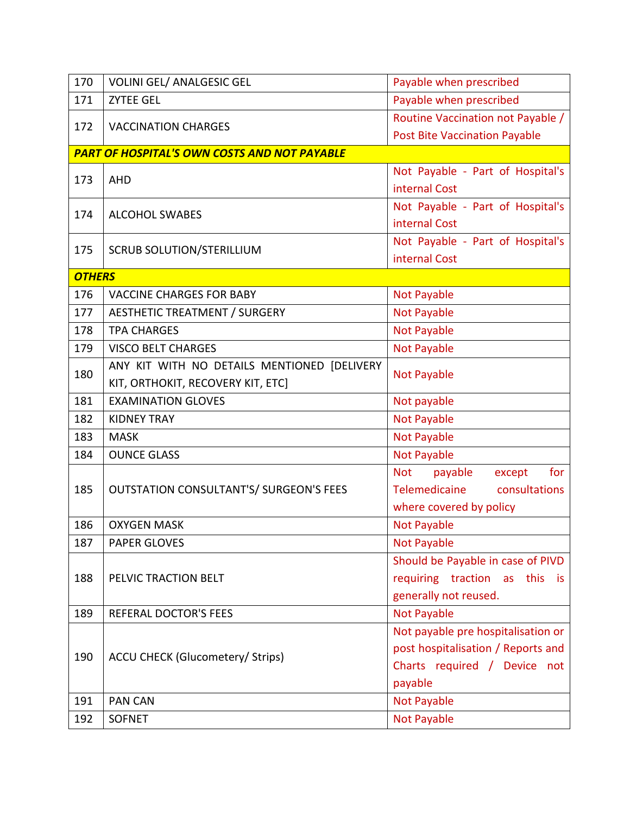| 170           | <b>VOLINI GEL/ ANALGESIC GEL</b>                    | Payable when prescribed                |
|---------------|-----------------------------------------------------|----------------------------------------|
| 171           | <b>ZYTEE GEL</b>                                    | Payable when prescribed                |
| 172           | <b>VACCINATION CHARGES</b>                          | Routine Vaccination not Payable /      |
|               |                                                     | <b>Post Bite Vaccination Payable</b>   |
|               | <b>PART OF HOSPITAL'S OWN COSTS AND NOT PAYABLE</b> |                                        |
|               |                                                     | Not Payable - Part of Hospital's       |
| 173           | <b>AHD</b>                                          | internal Cost                          |
|               |                                                     | Not Payable - Part of Hospital's       |
| 174           | <b>ALCOHOL SWABES</b>                               | internal Cost                          |
|               |                                                     | Not Payable - Part of Hospital's       |
| 175           | <b>SCRUB SOLUTION/STERILLIUM</b>                    | internal Cost                          |
| <b>OTHERS</b> |                                                     |                                        |
| 176           | <b>VACCINE CHARGES FOR BABY</b>                     | <b>Not Payable</b>                     |
| 177           | <b>AESTHETIC TREATMENT / SURGERY</b>                | <b>Not Payable</b>                     |
| 178           | <b>TPA CHARGES</b>                                  | <b>Not Payable</b>                     |
| 179           | <b>VISCO BELT CHARGES</b>                           | <b>Not Payable</b>                     |
|               | ANY KIT WITH NO DETAILS MENTIONED [DELIVERY         |                                        |
| 180           | KIT, ORTHOKIT, RECOVERY KIT, ETC]                   | <b>Not Payable</b>                     |
| 181           | <b>EXAMINATION GLOVES</b>                           | Not payable                            |
| 182           | <b>KIDNEY TRAY</b>                                  | <b>Not Payable</b>                     |
| 183           | <b>MASK</b>                                         | <b>Not Payable</b>                     |
| 184           | <b>OUNCE GLASS</b>                                  | <b>Not Payable</b>                     |
|               |                                                     | <b>Not</b><br>for<br>payable<br>except |
| 185           | <b>OUTSTATION CONSULTANT'S/ SURGEON'S FEES</b>      | Telemedicaine<br>consultations         |
|               |                                                     | where covered by policy                |
| 186           | <b>OXYGEN MASK</b>                                  | <b>Not Payable</b>                     |
| 187           | <b>PAPER GLOVES</b>                                 | Not Payable                            |
|               |                                                     | Should be Payable in case of PIVD      |
| 188           | PELVIC TRACTION BELT                                | requiring traction as this is          |
|               |                                                     | generally not reused.                  |
| 189           | <b>REFERAL DOCTOR'S FEES</b>                        | <b>Not Payable</b>                     |
|               |                                                     | Not payable pre hospitalisation or     |
|               | <b>ACCU CHECK (Glucometery/ Strips)</b>             | post hospitalisation / Reports and     |
| 190           |                                                     | Charts required / Device not           |
|               |                                                     | payable                                |
| 191           | <b>PAN CAN</b>                                      | <b>Not Payable</b>                     |
| 192           | <b>SOFNET</b>                                       | <b>Not Payable</b>                     |